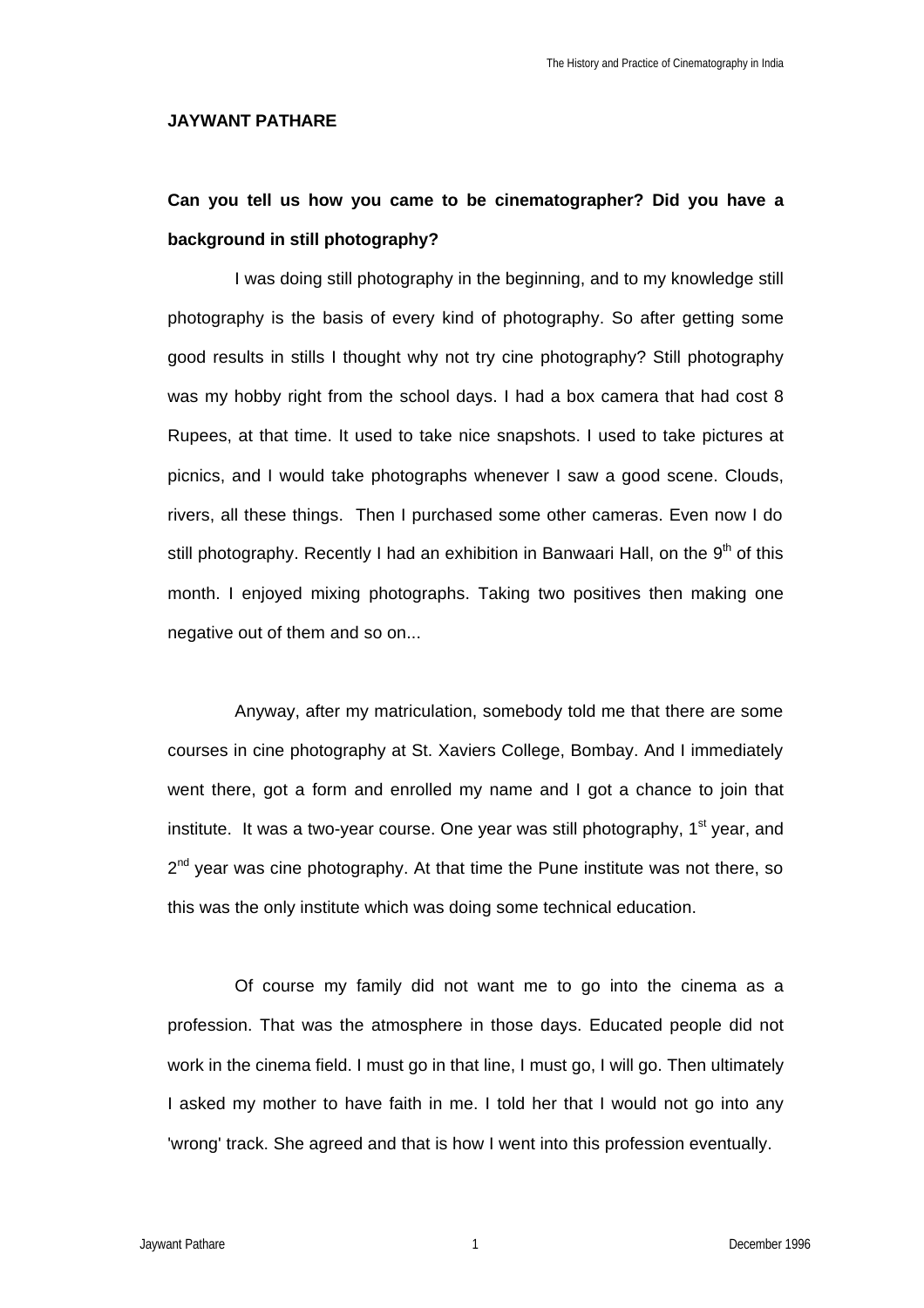### **JAYWANT PATHARE**

# **Can you tell us how you came to be cinematographer? Did you have a background in still photography?**

I was doing still photography in the beginning, and to my knowledge still photography is the basis of every kind of photography. So after getting some good results in stills I thought why not try cine photography? Still photography was my hobby right from the school days. I had a box camera that had cost 8 Rupees, at that time. It used to take nice snapshots. I used to take pictures at picnics, and I would take photographs whenever I saw a good scene. Clouds, rivers, all these things. Then I purchased some other cameras. Even now I do still photography. Recently I had an exhibition in Banwaari Hall, on the  $9<sup>th</sup>$  of this month. I enjoyed mixing photographs. Taking two positives then making one negative out of them and so on...

Anyway, after my matriculation, somebody told me that there are some courses in cine photography at St. Xaviers College, Bombay. And I immediately went there, got a form and enrolled my name and I got a chance to join that institute. It was a two-year course. One year was still photography,  $1<sup>st</sup>$  year, and 2<sup>nd</sup> year was cine photography. At that time the Pune institute was not there, so this was the only institute which was doing some technical education.

Of course my family did not want me to go into the cinema as a profession. That was the atmosphere in those days. Educated people did not work in the cinema field. I must go in that line, I must go, I will go. Then ultimately I asked my mother to have faith in me. I told her that I would not go into any 'wrong' track. She agreed and that is how I went into this profession eventually.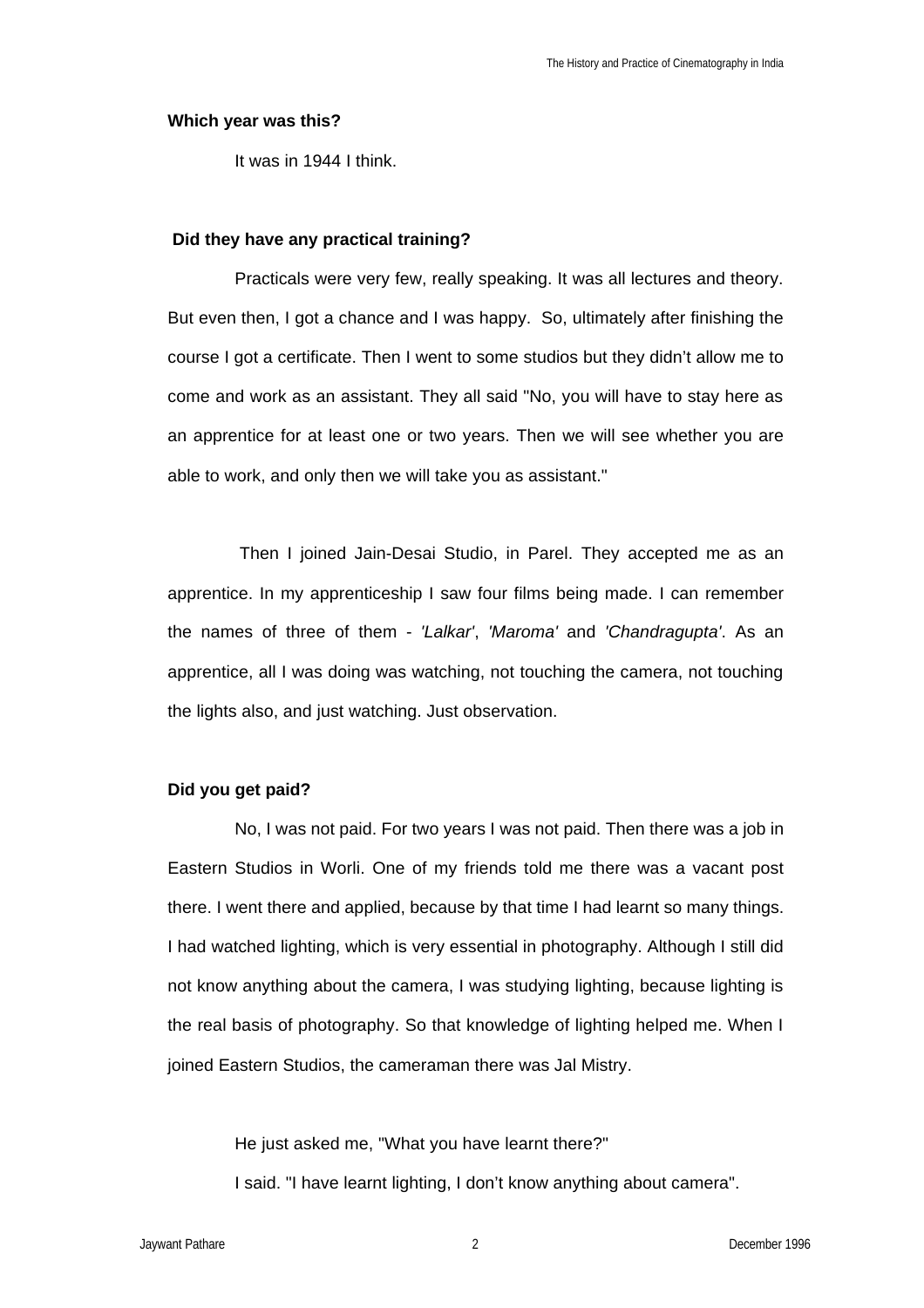#### **Which year was this?**

It was in 1944 I think.

## **Did they have any practical training?**

Practicals were very few, really speaking. It was all lectures and theory. But even then, I got a chance and I was happy. So, ultimately after finishing the course I got a certificate. Then I went to some studios but they didn't allow me to come and work as an assistant. They all said "No, you will have to stay here as an apprentice for at least one or two years. Then we will see whether you are able to work, and only then we will take you as assistant."

 Then I joined Jain-Desai Studio, in Parel. They accepted me as an apprentice. In my apprenticeship I saw four films being made. I can remember the names of three of them - *'Lalkar'*, *'Maroma'* and *'Chandragupta'*. As an apprentice, all I was doing was watching, not touching the camera, not touching the lights also, and just watching. Just observation.

## **Did you get paid?**

No, I was not paid. For two years I was not paid. Then there was a job in Eastern Studios in Worli. One of my friends told me there was a vacant post there. I went there and applied, because by that time I had learnt so many things. I had watched lighting, which is very essential in photography. Although I still did not know anything about the camera, I was studying lighting, because lighting is the real basis of photography. So that knowledge of lighting helped me. When I joined Eastern Studios, the cameraman there was Jal Mistry.

He just asked me, "What you have learnt there?" I said. "I have learnt lighting, I don't know anything about camera".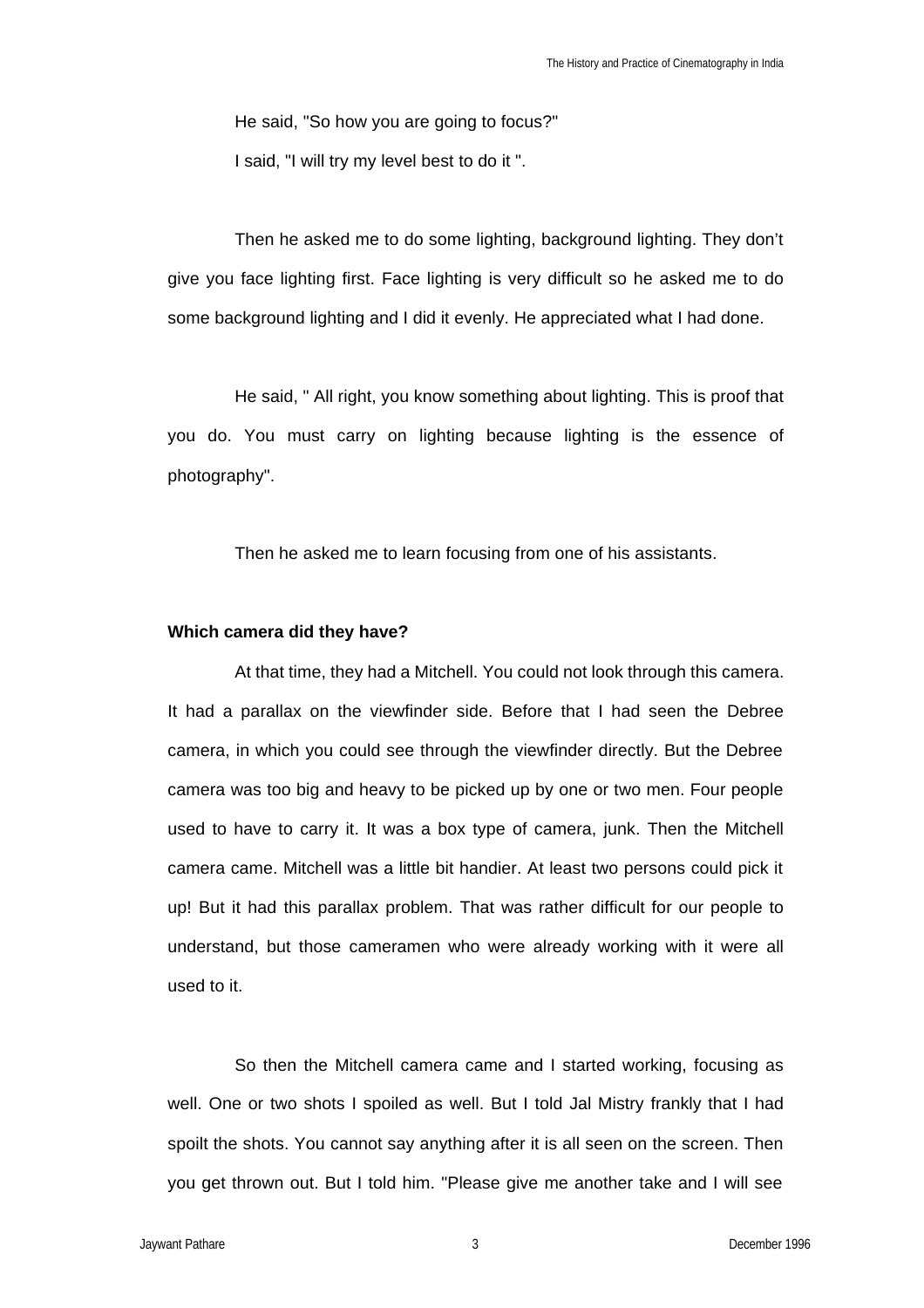He said, "So how you are going to focus?"

I said, "I will try my level best to do it ".

Then he asked me to do some lighting, background lighting. They don't give you face lighting first. Face lighting is very difficult so he asked me to do some background lighting and I did it evenly. He appreciated what I had done.

He said, " All right, you know something about lighting. This is proof that you do. You must carry on lighting because lighting is the essence of photography".

Then he asked me to learn focusing from one of his assistants.

## **Which camera did they have?**

At that time, they had a Mitchell. You could not look through this camera. It had a parallax on the viewfinder side. Before that I had seen the Debree camera, in which you could see through the viewfinder directly. But the Debree camera was too big and heavy to be picked up by one or two men. Four people used to have to carry it. It was a box type of camera, junk. Then the Mitchell camera came. Mitchell was a little bit handier. At least two persons could pick it up! But it had this parallax problem. That was rather difficult for our people to understand, but those cameramen who were already working with it were all used to it.

So then the Mitchell camera came and I started working, focusing as well. One or two shots I spoiled as well. But I told Jal Mistry frankly that I had spoilt the shots. You cannot say anything after it is all seen on the screen. Then you get thrown out. But I told him. "Please give me another take and I will see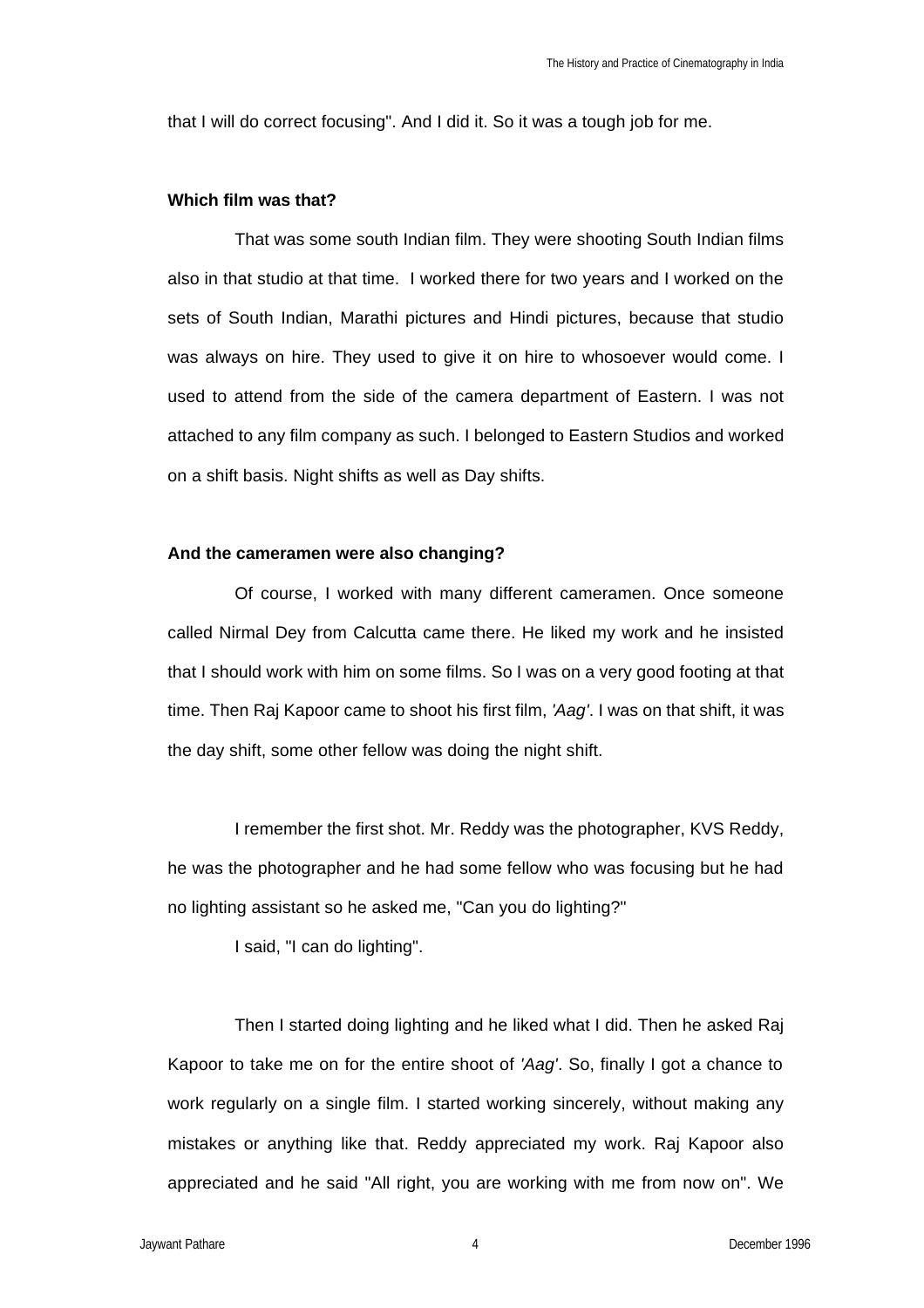that I will do correct focusing". And I did it. So it was a tough job for me.

## **Which film was that?**

That was some south Indian film. They were shooting South Indian films also in that studio at that time. I worked there for two years and I worked on the sets of South Indian, Marathi pictures and Hindi pictures, because that studio was always on hire. They used to give it on hire to whosoever would come. I used to attend from the side of the camera department of Eastern. I was not attached to any film company as such. I belonged to Eastern Studios and worked on a shift basis. Night shifts as well as Day shifts.

#### **And the cameramen were also changing?**

Of course, I worked with many different cameramen. Once someone called Nirmal Dey from Calcutta came there. He liked my work and he insisted that I should work with him on some films. So I was on a very good footing at that time. Then Raj Kapoor came to shoot his first film, *'Aag'*. I was on that shift, it was the day shift, some other fellow was doing the night shift.

I remember the first shot. Mr. Reddy was the photographer, KVS Reddy, he was the photographer and he had some fellow who was focusing but he had no lighting assistant so he asked me, "Can you do lighting?"

I said, "I can do lighting".

Then I started doing lighting and he liked what I did. Then he asked Raj Kapoor to take me on for the entire shoot of *'Aag'*. So, finally I got a chance to work regularly on a single film. I started working sincerely, without making any mistakes or anything like that. Reddy appreciated my work. Raj Kapoor also appreciated and he said "All right, you are working with me from now on". We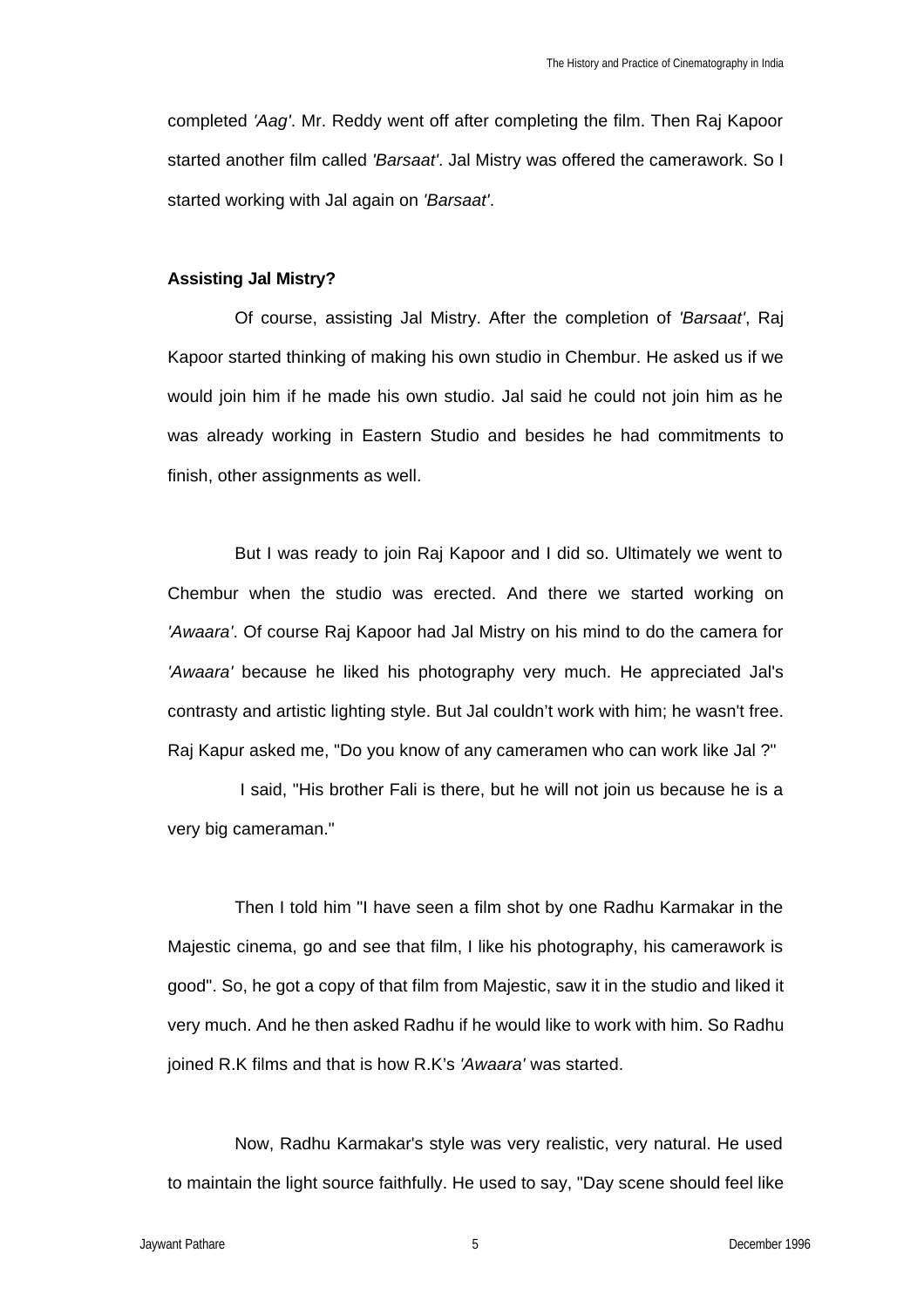completed *'Aag'*. Mr. Reddy went off after completing the film. Then Raj Kapoor started another film called *'Barsaat'*. Jal Mistry was offered the camerawork. So I started working with Jal again on *'Barsaat'*.

#### **Assisting Jal Mistry?**

Of course, assisting Jal Mistry. After the completion of *'Barsaat'*, Raj Kapoor started thinking of making his own studio in Chembur. He asked us if we would join him if he made his own studio. Jal said he could not join him as he was already working in Eastern Studio and besides he had commitments to finish, other assignments as well.

But I was ready to join Raj Kapoor and I did so. Ultimately we went to Chembur when the studio was erected. And there we started working on *'Awaara'*. Of course Raj Kapoor had Jal Mistry on his mind to do the camera for *'Awaara'* because he liked his photography very much. He appreciated Jal's contrasty and artistic lighting style. But Jal couldn't work with him; he wasn't free. Raj Kapur asked me, "Do you know of any cameramen who can work like Jal ?"

 I said, "His brother Fali is there, but he will not join us because he is a very big cameraman."

Then I told him "I have seen a film shot by one Radhu Karmakar in the Majestic cinema, go and see that film, I like his photography, his camerawork is good". So, he got a copy of that film from Majestic, saw it in the studio and liked it very much. And he then asked Radhu if he would like to work with him. So Radhu joined R.K films and that is how R.K's *'Awaara'* was started.

Now, Radhu Karmakar's style was very realistic, very natural. He used to maintain the light source faithfully. He used to say, "Day scene should feel like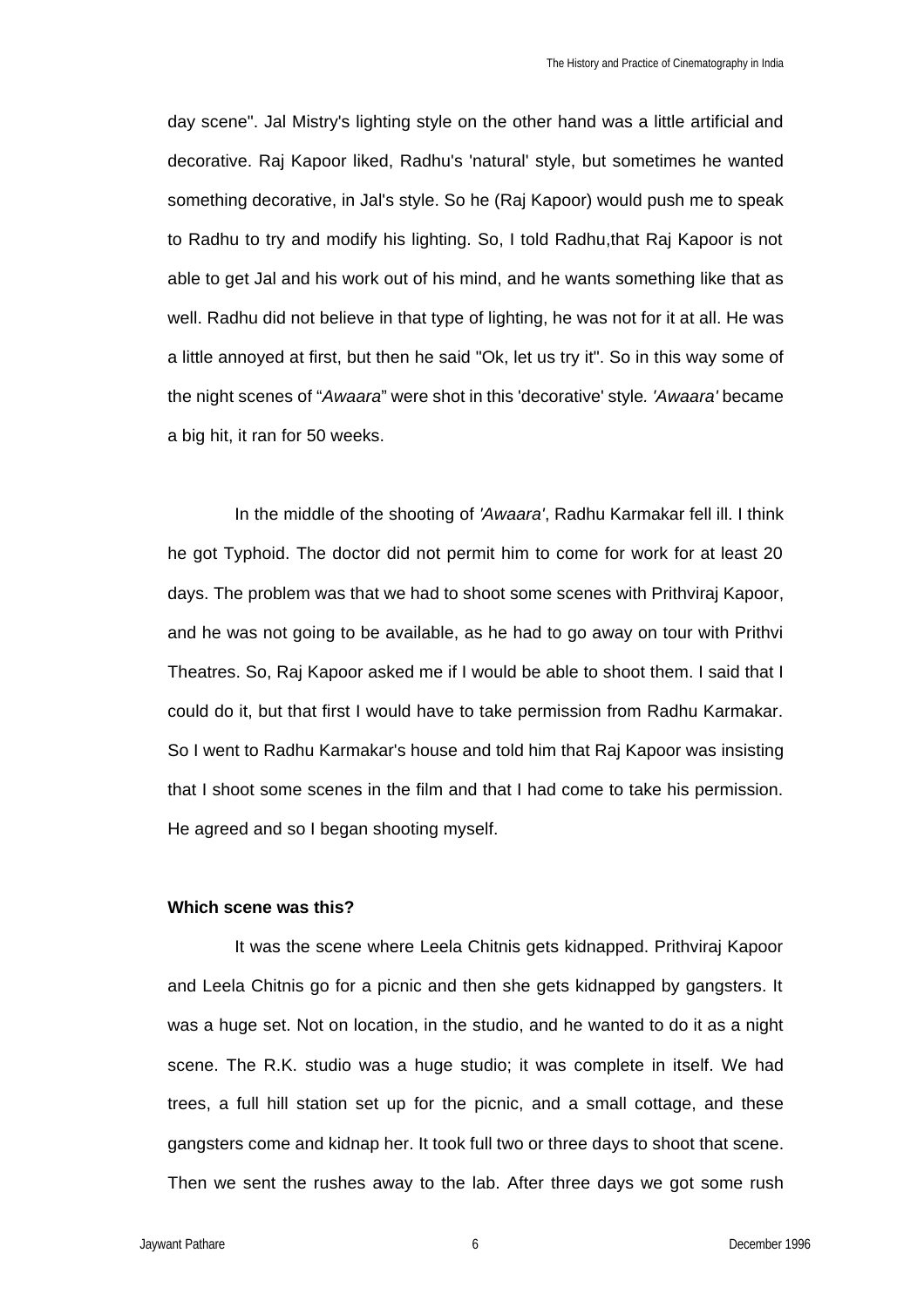day scene". Jal Mistry's lighting style on the other hand was a little artificial and decorative. Raj Kapoor liked, Radhu's 'natural' style, but sometimes he wanted something decorative, in Jal's style. So he (Raj Kapoor) would push me to speak to Radhu to try and modify his lighting. So, I told Radhu,that Raj Kapoor is not able to get Jal and his work out of his mind, and he wants something like that as well. Radhu did not believe in that type of lighting, he was not for it at all. He was a little annoyed at first, but then he said "Ok, let us try it". So in this way some of the night scenes of "*Awaara*" were shot in this 'decorative' style*. 'Awaara'* became a big hit, it ran for 50 weeks.

In the middle of the shooting of *'Awaara'*, Radhu Karmakar fell ill. I think he got Typhoid. The doctor did not permit him to come for work for at least 20 days. The problem was that we had to shoot some scenes with Prithviraj Kapoor, and he was not going to be available, as he had to go away on tour with Prithvi Theatres. So, Raj Kapoor asked me if I would be able to shoot them. I said that I could do it, but that first I would have to take permission from Radhu Karmakar. So I went to Radhu Karmakar's house and told him that Raj Kapoor was insisting that I shoot some scenes in the film and that I had come to take his permission. He agreed and so I began shooting myself.

## **Which scene was this?**

It was the scene where Leela Chitnis gets kidnapped. Prithviraj Kapoor and Leela Chitnis go for a picnic and then she gets kidnapped by gangsters. It was a huge set. Not on location, in the studio, and he wanted to do it as a night scene. The R.K. studio was a huge studio; it was complete in itself. We had trees, a full hill station set up for the picnic, and a small cottage, and these gangsters come and kidnap her. It took full two or three days to shoot that scene. Then we sent the rushes away to the lab. After three days we got some rush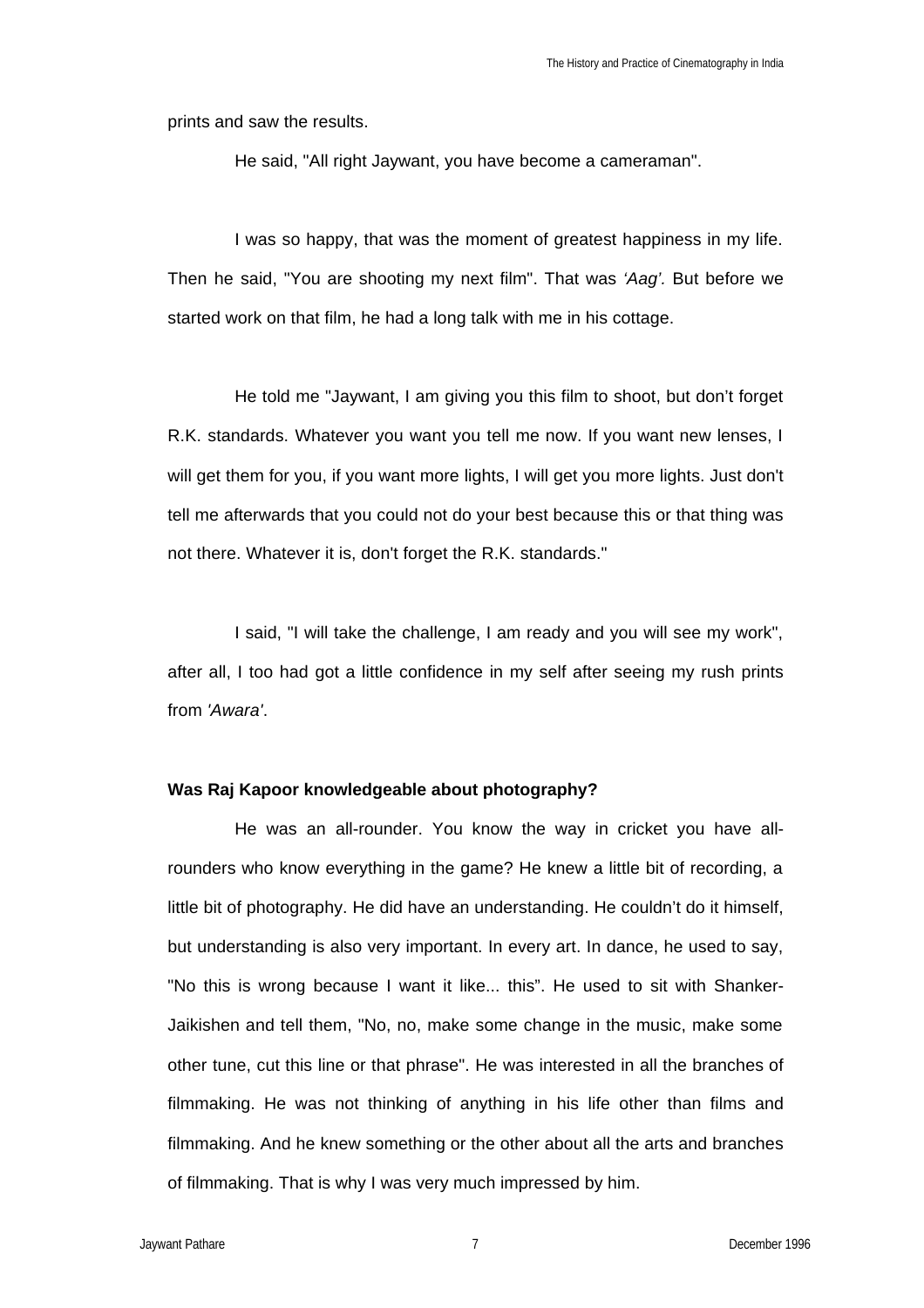prints and saw the results.

He said, "All right Jaywant, you have become a cameraman".

I was so happy, that was the moment of greatest happiness in my life. Then he said, "You are shooting my next film". That was *'Aag'.* But before we started work on that film, he had a long talk with me in his cottage.

He told me "Jaywant, I am giving you this film to shoot, but don't forget R.K. standards. Whatever you want you tell me now. If you want new lenses, I will get them for you, if you want more lights, I will get you more lights. Just don't tell me afterwards that you could not do your best because this or that thing was not there. Whatever it is, don't forget the R.K. standards."

I said, "I will take the challenge, I am ready and you will see my work", after all, I too had got a little confidence in my self after seeing my rush prints from *'Awara'*.

## **Was Raj Kapoor knowledgeable about photography?**

He was an all-rounder. You know the way in cricket you have allrounders who know everything in the game? He knew a little bit of recording, a little bit of photography. He did have an understanding. He couldn't do it himself, but understanding is also very important. In every art. In dance, he used to say, "No this is wrong because I want it like... this". He used to sit with Shanker-Jaikishen and tell them, "No, no, make some change in the music, make some other tune, cut this line or that phrase". He was interested in all the branches of filmmaking. He was not thinking of anything in his life other than films and filmmaking. And he knew something or the other about all the arts and branches of filmmaking. That is why I was very much impressed by him.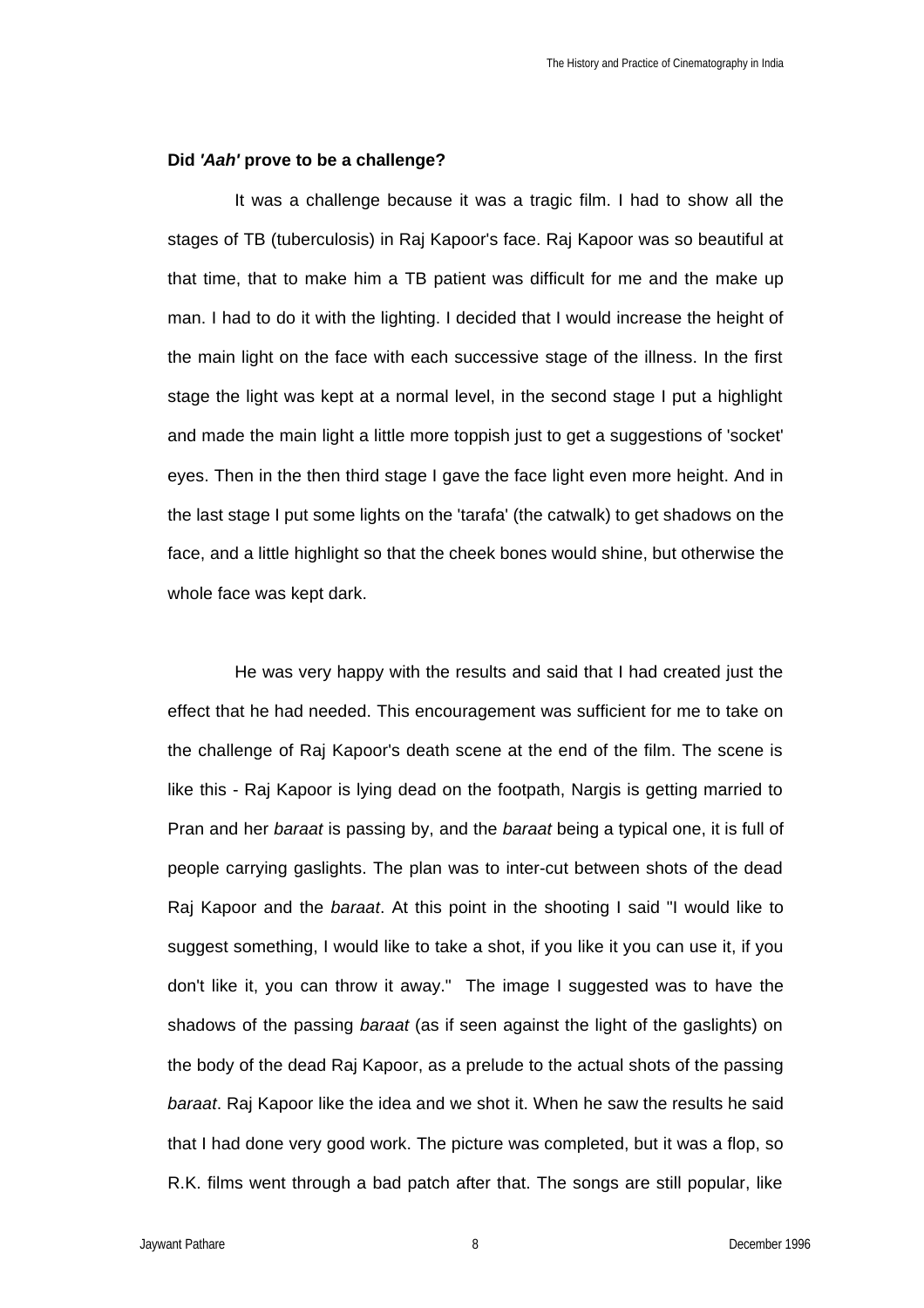### **Did** *'Aah'* **prove to be a challenge?**

It was a challenge because it was a tragic film. I had to show all the stages of TB (tuberculosis) in Raj Kapoor's face. Raj Kapoor was so beautiful at that time, that to make him a TB patient was difficult for me and the make up man. I had to do it with the lighting. I decided that I would increase the height of the main light on the face with each successive stage of the illness. In the first stage the light was kept at a normal level, in the second stage I put a highlight and made the main light a little more toppish just to get a suggestions of 'socket' eyes. Then in the then third stage I gave the face light even more height. And in the last stage I put some lights on the 'tarafa' (the catwalk) to get shadows on the face, and a little highlight so that the cheek bones would shine, but otherwise the whole face was kept dark.

He was very happy with the results and said that I had created just the effect that he had needed. This encouragement was sufficient for me to take on the challenge of Raj Kapoor's death scene at the end of the film. The scene is like this - Raj Kapoor is lying dead on the footpath, Nargis is getting married to Pran and her *baraat* is passing by, and the *baraat* being a typical one, it is full of people carrying gaslights. The plan was to inter-cut between shots of the dead Raj Kapoor and the *baraat*. At this point in the shooting I said "I would like to suggest something, I would like to take a shot, if you like it you can use it, if you don't like it, you can throw it away." The image I suggested was to have the shadows of the passing *baraat* (as if seen against the light of the gaslights) on the body of the dead Raj Kapoor, as a prelude to the actual shots of the passing *baraat*. Raj Kapoor like the idea and we shot it. When he saw the results he said that I had done very good work. The picture was completed, but it was a flop, so R.K. films went through a bad patch after that. The songs are still popular, like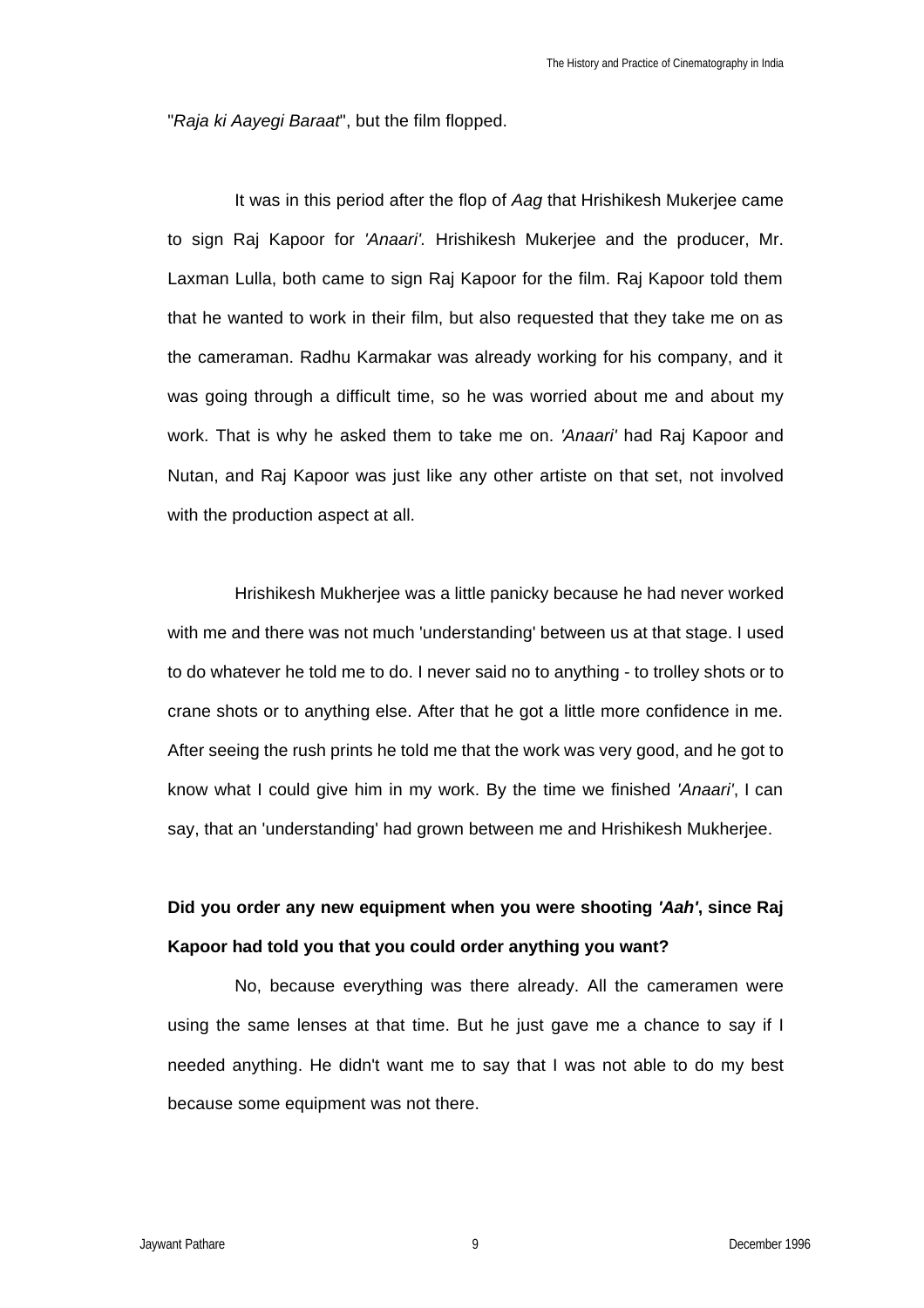"*Raja ki Aayegi Baraat*", but the film flopped.

It was in this period after the flop of *Aag* that Hrishikesh Mukerjee came to sign Raj Kapoor for *'Anaari'.* Hrishikesh Mukerjee and the producer, Mr. Laxman Lulla, both came to sign Raj Kapoor for the film. Raj Kapoor told them that he wanted to work in their film, but also requested that they take me on as the cameraman. Radhu Karmakar was already working for his company, and it was going through a difficult time, so he was worried about me and about my work. That is why he asked them to take me on. *'Anaari'* had Raj Kapoor and Nutan, and Raj Kapoor was just like any other artiste on that set, not involved with the production aspect at all.

Hrishikesh Mukherjee was a little panicky because he had never worked with me and there was not much 'understanding' between us at that stage. I used to do whatever he told me to do. I never said no to anything - to trolley shots or to crane shots or to anything else. After that he got a little more confidence in me. After seeing the rush prints he told me that the work was very good, and he got to know what I could give him in my work. By the time we finished *'Anaari'*, I can say, that an 'understanding' had grown between me and Hrishikesh Mukherjee.

# **Did you order any new equipment when you were shooting** *'Aah'***, since Raj Kapoor had told you that you could order anything you want?**

No, because everything was there already. All the cameramen were using the same lenses at that time. But he just gave me a chance to say if I needed anything. He didn't want me to say that I was not able to do my best because some equipment was not there.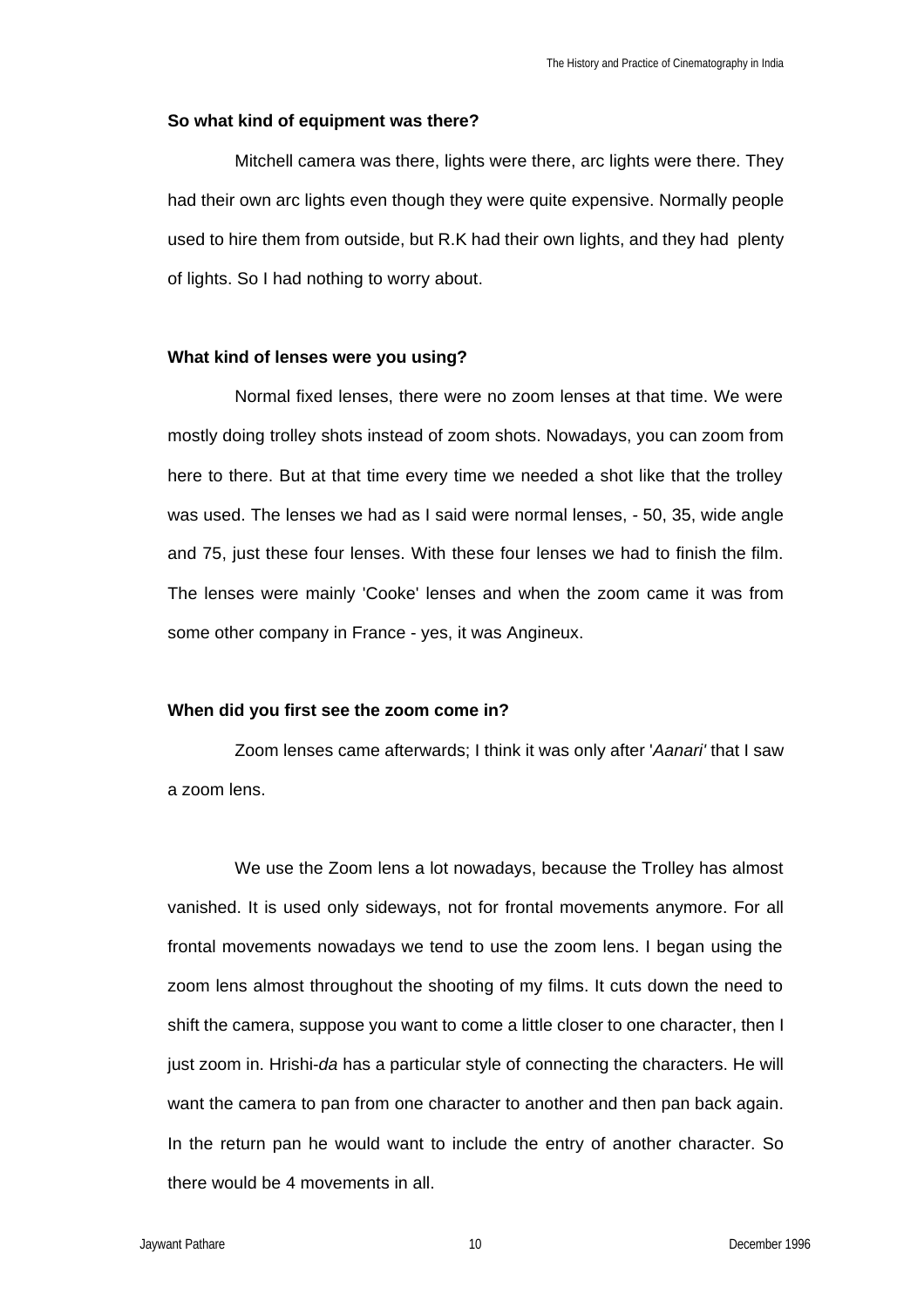#### **So what kind of equipment was there?**

Mitchell camera was there, lights were there, arc lights were there. They had their own arc lights even though they were quite expensive. Normally people used to hire them from outside, but R.K had their own lights, and they had plenty of lights. So I had nothing to worry about.

### **What kind of lenses were you using?**

Normal fixed lenses, there were no zoom lenses at that time. We were mostly doing trolley shots instead of zoom shots. Nowadays, you can zoom from here to there. But at that time every time we needed a shot like that the trolley was used. The lenses we had as I said were normal lenses, - 50, 35, wide angle and 75, just these four lenses. With these four lenses we had to finish the film. The lenses were mainly 'Cooke' lenses and when the zoom came it was from some other company in France - yes, it was Angineux.

## **When did you first see the zoom come in?**

Zoom lenses came afterwards; I think it was only after '*Aanari'* that I saw a zoom lens.

We use the Zoom lens a lot nowadays, because the Trolley has almost vanished. It is used only sideways, not for frontal movements anymore. For all frontal movements nowadays we tend to use the zoom lens. I began using the zoom lens almost throughout the shooting of my films. It cuts down the need to shift the camera, suppose you want to come a little closer to one character, then I just zoom in. Hrishi-*da* has a particular style of connecting the characters. He will want the camera to pan from one character to another and then pan back again. In the return pan he would want to include the entry of another character. So there would be 4 movements in all.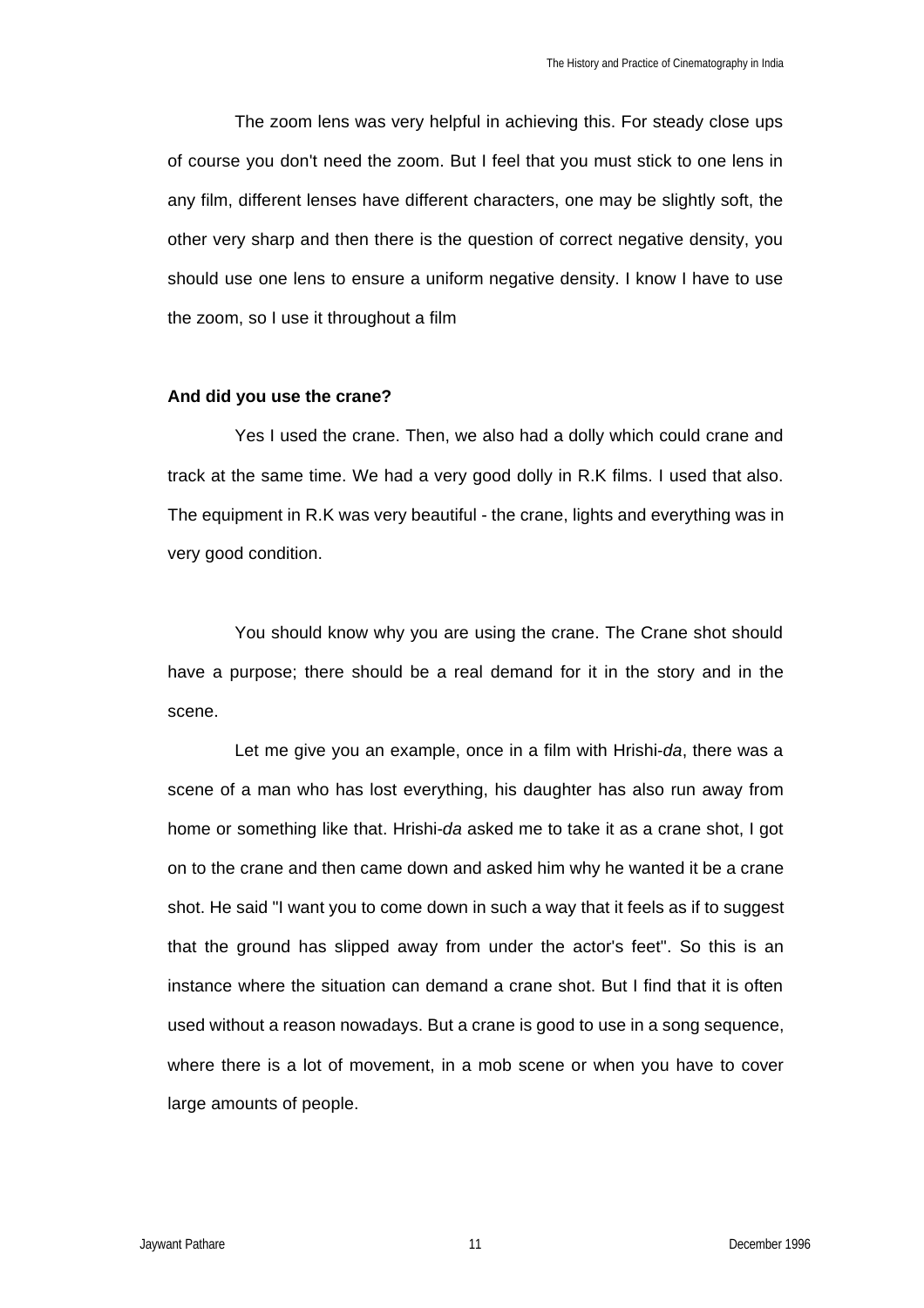The zoom lens was very helpful in achieving this. For steady close ups of course you don't need the zoom. But I feel that you must stick to one lens in any film, different lenses have different characters, one may be slightly soft, the other very sharp and then there is the question of correct negative density, you should use one lens to ensure a uniform negative density. I know I have to use the zoom, so I use it throughout a film

#### **And did you use the crane?**

Yes I used the crane. Then, we also had a dolly which could crane and track at the same time. We had a very good dolly in R.K films. I used that also. The equipment in R.K was very beautiful - the crane, lights and everything was in very good condition.

You should know why you are using the crane. The Crane shot should have a purpose; there should be a real demand for it in the story and in the scene.

Let me give you an example, once in a film with Hrishi-*da*, there was a scene of a man who has lost everything, his daughter has also run away from home or something like that. Hrishi-*da* asked me to take it as a crane shot, I got on to the crane and then came down and asked him why he wanted it be a crane shot. He said "I want you to come down in such a way that it feels as if to suggest that the ground has slipped away from under the actor's feet". So this is an instance where the situation can demand a crane shot. But I find that it is often used without a reason nowadays. But a crane is good to use in a song sequence, where there is a lot of movement, in a mob scene or when you have to cover large amounts of people.

Jaywant Pathare **1996 Community 11 Community December 1996 December 1996**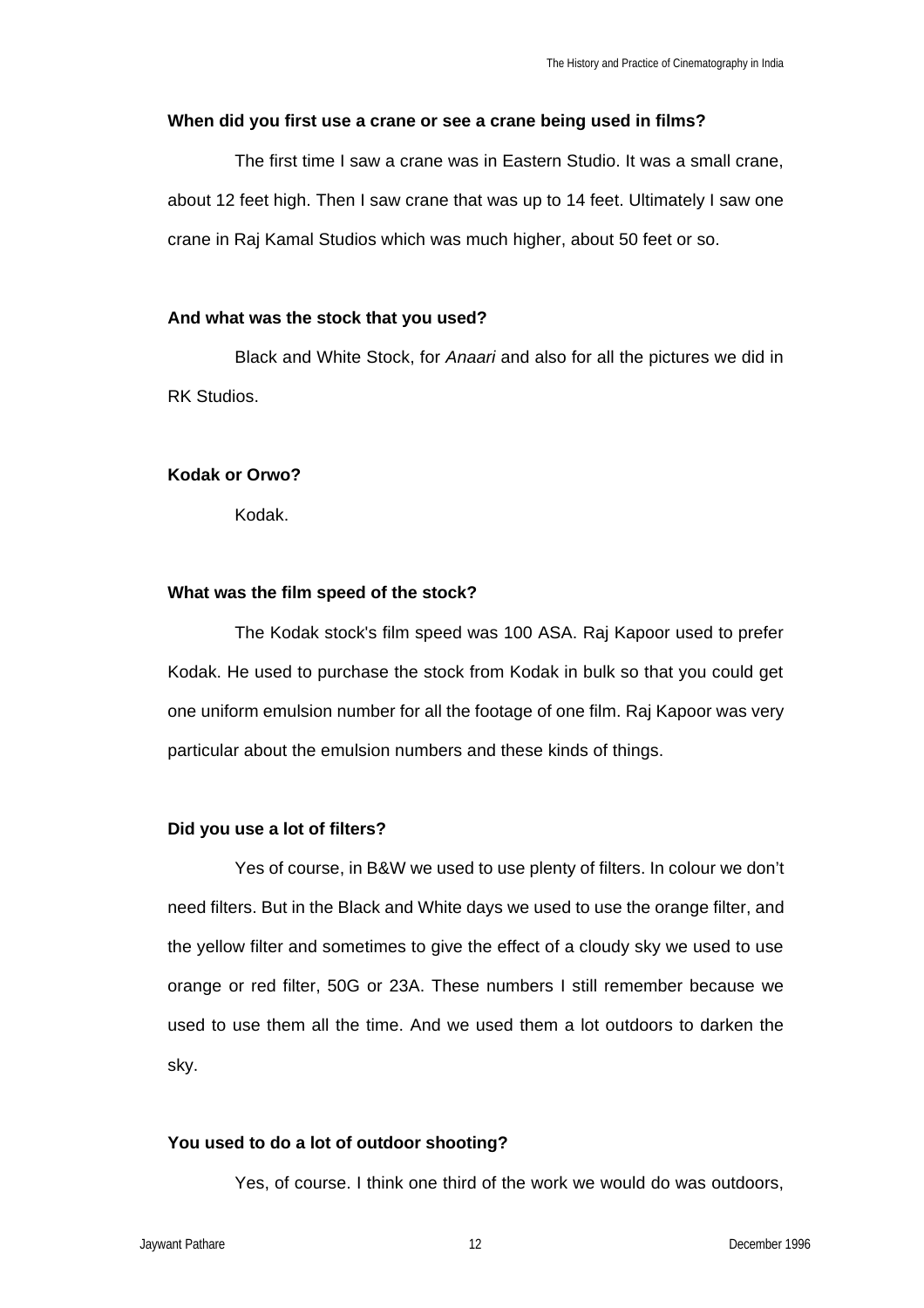### **When did you first use a crane or see a crane being used in films?**

The first time I saw a crane was in Eastern Studio. It was a small crane, about 12 feet high. Then I saw crane that was up to 14 feet. Ultimately I saw one crane in Raj Kamal Studios which was much higher, about 50 feet or so.

## **And what was the stock that you used?**

Black and White Stock, for *Anaari* and also for all the pictures we did in RK Studios.

## **Kodak or Orwo?**

Kodak.

## **What was the film speed of the stock?**

The Kodak stock's film speed was 100 ASA. Raj Kapoor used to prefer Kodak. He used to purchase the stock from Kodak in bulk so that you could get one uniform emulsion number for all the footage of one film. Raj Kapoor was very particular about the emulsion numbers and these kinds of things.

## **Did you use a lot of filters?**

Yes of course, in B&W we used to use plenty of filters. In colour we don't need filters. But in the Black and White days we used to use the orange filter, and the yellow filter and sometimes to give the effect of a cloudy sky we used to use orange or red filter, 50G or 23A. These numbers I still remember because we used to use them all the time. And we used them a lot outdoors to darken the sky.

## **You used to do a lot of outdoor shooting?**

Yes, of course. I think one third of the work we would do was outdoors,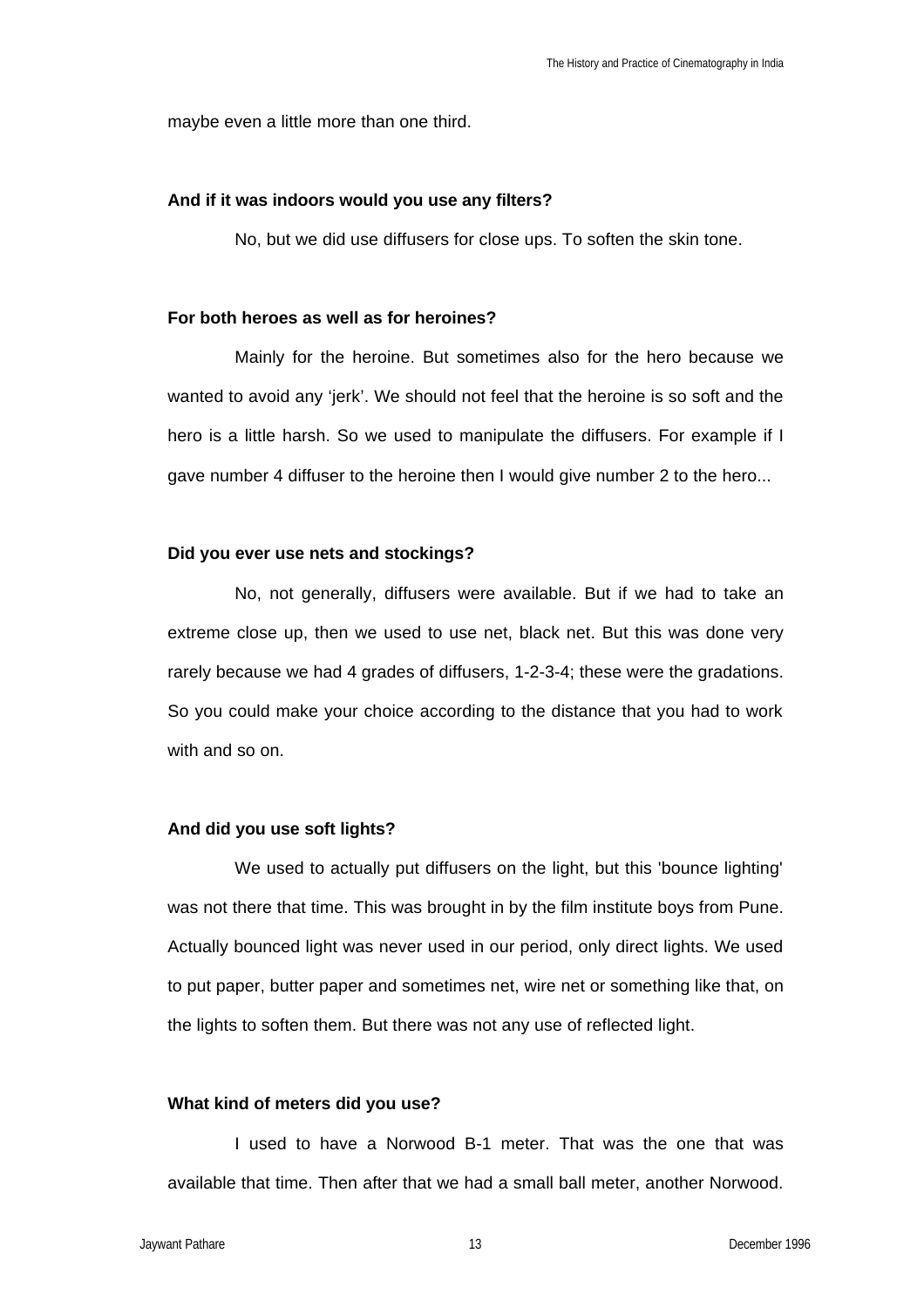maybe even a little more than one third.

### **And if it was indoors would you use any filters?**

No, but we did use diffusers for close ups. To soften the skin tone.

### **For both heroes as well as for heroines?**

Mainly for the heroine. But sometimes also for the hero because we wanted to avoid any 'jerk'. We should not feel that the heroine is so soft and the hero is a little harsh. So we used to manipulate the diffusers. For example if I gave number 4 diffuser to the heroine then I would give number 2 to the hero...

## **Did you ever use nets and stockings?**

No, not generally, diffusers were available. But if we had to take an extreme close up, then we used to use net, black net. But this was done very rarely because we had 4 grades of diffusers, 1-2-3-4; these were the gradations. So you could make your choice according to the distance that you had to work with and so on.

## **And did you use soft lights?**

We used to actually put diffusers on the light, but this 'bounce lighting' was not there that time. This was brought in by the film institute boys from Pune. Actually bounced light was never used in our period, only direct lights. We used to put paper, butter paper and sometimes net, wire net or something like that, on the lights to soften them. But there was not any use of reflected light.

### **What kind of meters did you use?**

I used to have a Norwood B-1 meter. That was the one that was available that time. Then after that we had a small ball meter, another Norwood.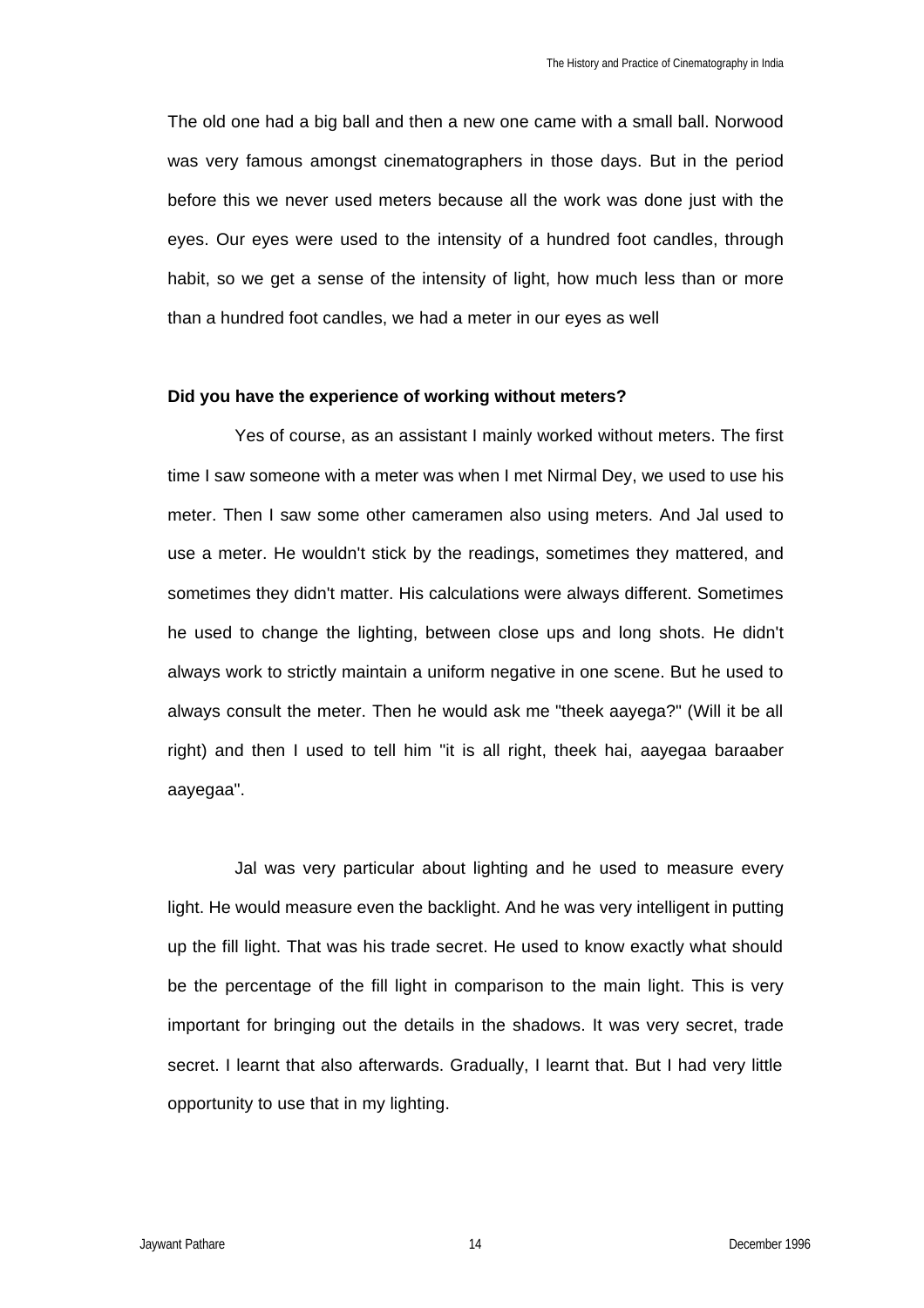The old one had a big ball and then a new one came with a small ball. Norwood was very famous amongst cinematographers in those days. But in the period before this we never used meters because all the work was done just with the eyes. Our eyes were used to the intensity of a hundred foot candles, through habit, so we get a sense of the intensity of light, how much less than or more than a hundred foot candles, we had a meter in our eyes as well

#### **Did you have the experience of working without meters?**

Yes of course, as an assistant I mainly worked without meters. The first time I saw someone with a meter was when I met Nirmal Dey, we used to use his meter. Then I saw some other cameramen also using meters. And Jal used to use a meter. He wouldn't stick by the readings, sometimes they mattered, and sometimes they didn't matter. His calculations were always different. Sometimes he used to change the lighting, between close ups and long shots. He didn't always work to strictly maintain a uniform negative in one scene. But he used to always consult the meter. Then he would ask me "theek aayega?" (Will it be all right) and then I used to tell him "it is all right, theek hai, aayegaa baraaber aayegaa".

Jal was very particular about lighting and he used to measure every light. He would measure even the backlight. And he was very intelligent in putting up the fill light. That was his trade secret. He used to know exactly what should be the percentage of the fill light in comparison to the main light. This is very important for bringing out the details in the shadows. It was very secret, trade secret. I learnt that also afterwards. Gradually, I learnt that. But I had very little opportunity to use that in my lighting.

Jaywant Pathare **1996 Community 14** December 1996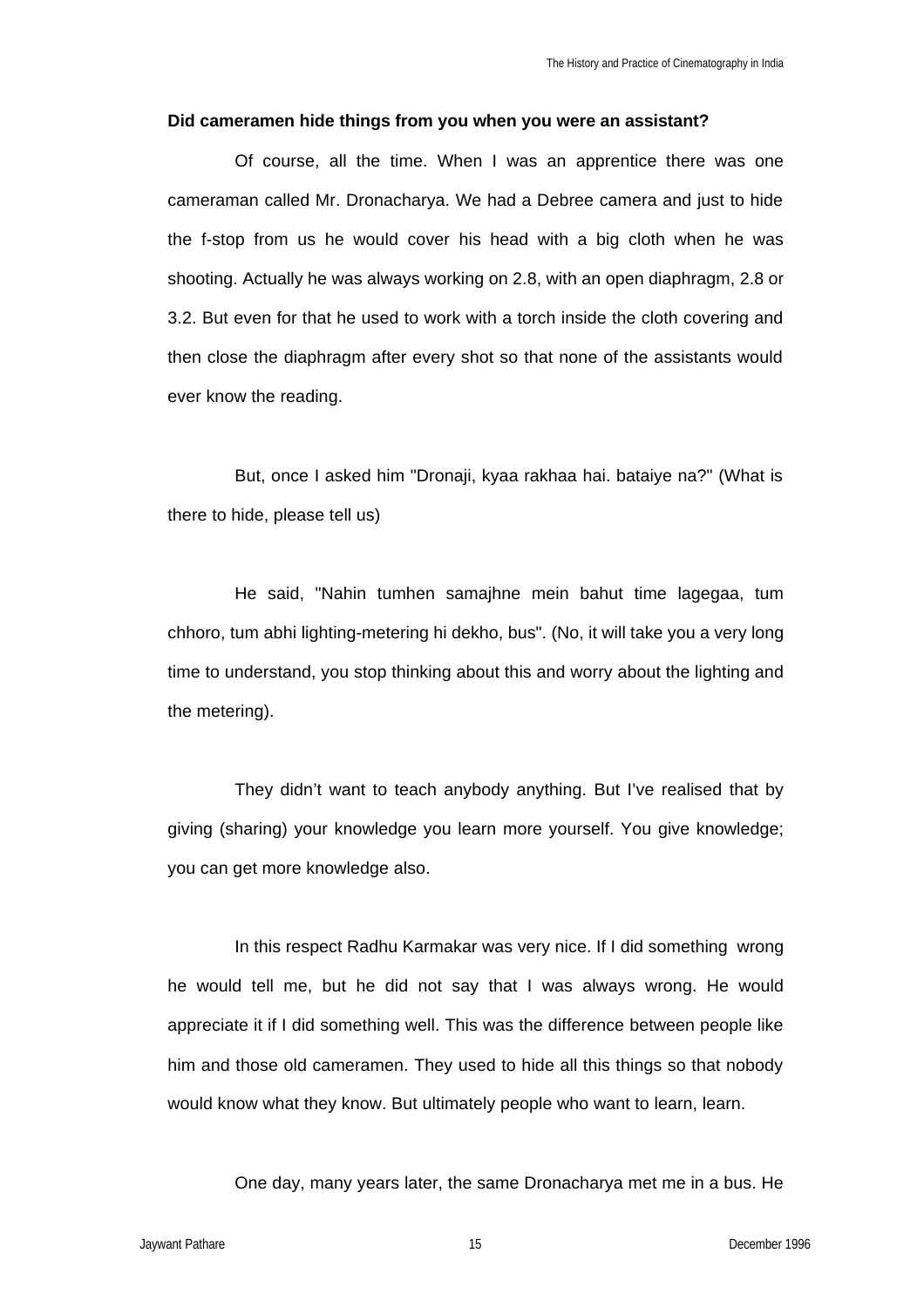#### **Did cameramen hide things from you when you were an assistant?**

Of course, all the time. When I was an apprentice there was one cameraman called Mr. Dronacharya. We had a Debree camera and just to hide the f-stop from us he would cover his head with a big cloth when he was shooting. Actually he was always working on 2.8, with an open diaphragm, 2.8 or 3.2. But even for that he used to work with a torch inside the cloth covering and then close the diaphragm after every shot so that none of the assistants would ever know the reading.

But, once I asked him "Dronaji, kyaa rakhaa hai. bataiye na?" (What is there to hide, please tell us)

He said, "Nahin tumhen samajhne mein bahut time lagegaa, tum chhoro, tum abhi lighting-metering hi dekho, bus". (No, it will take you a very long time to understand, you stop thinking about this and worry about the lighting and the metering).

They didn't want to teach anybody anything. But I've realised that by giving (sharing) your knowledge you learn more yourself. You give knowledge; you can get more knowledge also.

In this respect Radhu Karmakar was very nice. If I did something wrong he would tell me, but he did not say that I was always wrong. He would appreciate it if I did something well. This was the difference between people like him and those old cameramen. They used to hide all this things so that nobody would know what they know. But ultimately people who want to learn, learn.

One day, many years later, the same Dronacharya met me in a bus. He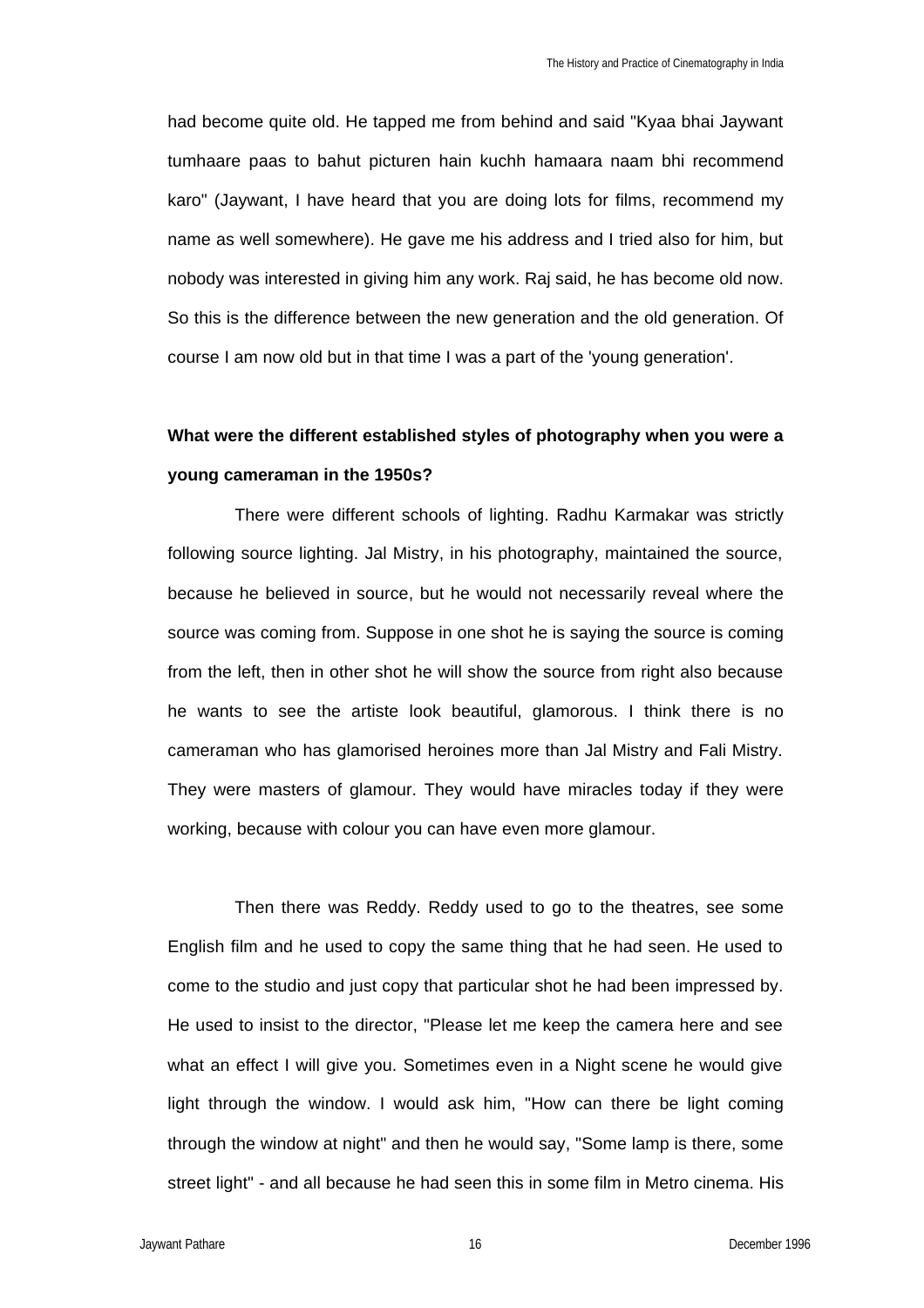had become quite old. He tapped me from behind and said "Kyaa bhai Jaywant tumhaare paas to bahut picturen hain kuchh hamaara naam bhi recommend karo" (Jaywant, I have heard that you are doing lots for films, recommend my name as well somewhere). He gave me his address and I tried also for him, but nobody was interested in giving him any work. Raj said, he has become old now. So this is the difference between the new generation and the old generation. Of course I am now old but in that time I was a part of the 'young generation'.

# **What were the different established styles of photography when you were a young cameraman in the 1950s?**

There were different schools of lighting. Radhu Karmakar was strictly following source lighting. Jal Mistry, in his photography, maintained the source, because he believed in source, but he would not necessarily reveal where the source was coming from. Suppose in one shot he is saying the source is coming from the left, then in other shot he will show the source from right also because he wants to see the artiste look beautiful, glamorous. I think there is no cameraman who has glamorised heroines more than Jal Mistry and Fali Mistry. They were masters of glamour. They would have miracles today if they were working, because with colour you can have even more glamour.

Then there was Reddy. Reddy used to go to the theatres, see some English film and he used to copy the same thing that he had seen. He used to come to the studio and just copy that particular shot he had been impressed by. He used to insist to the director, "Please let me keep the camera here and see what an effect I will give you. Sometimes even in a Night scene he would give light through the window. I would ask him, "How can there be light coming through the window at night" and then he would say, "Some lamp is there, some street light" - and all because he had seen this in some film in Metro cinema. His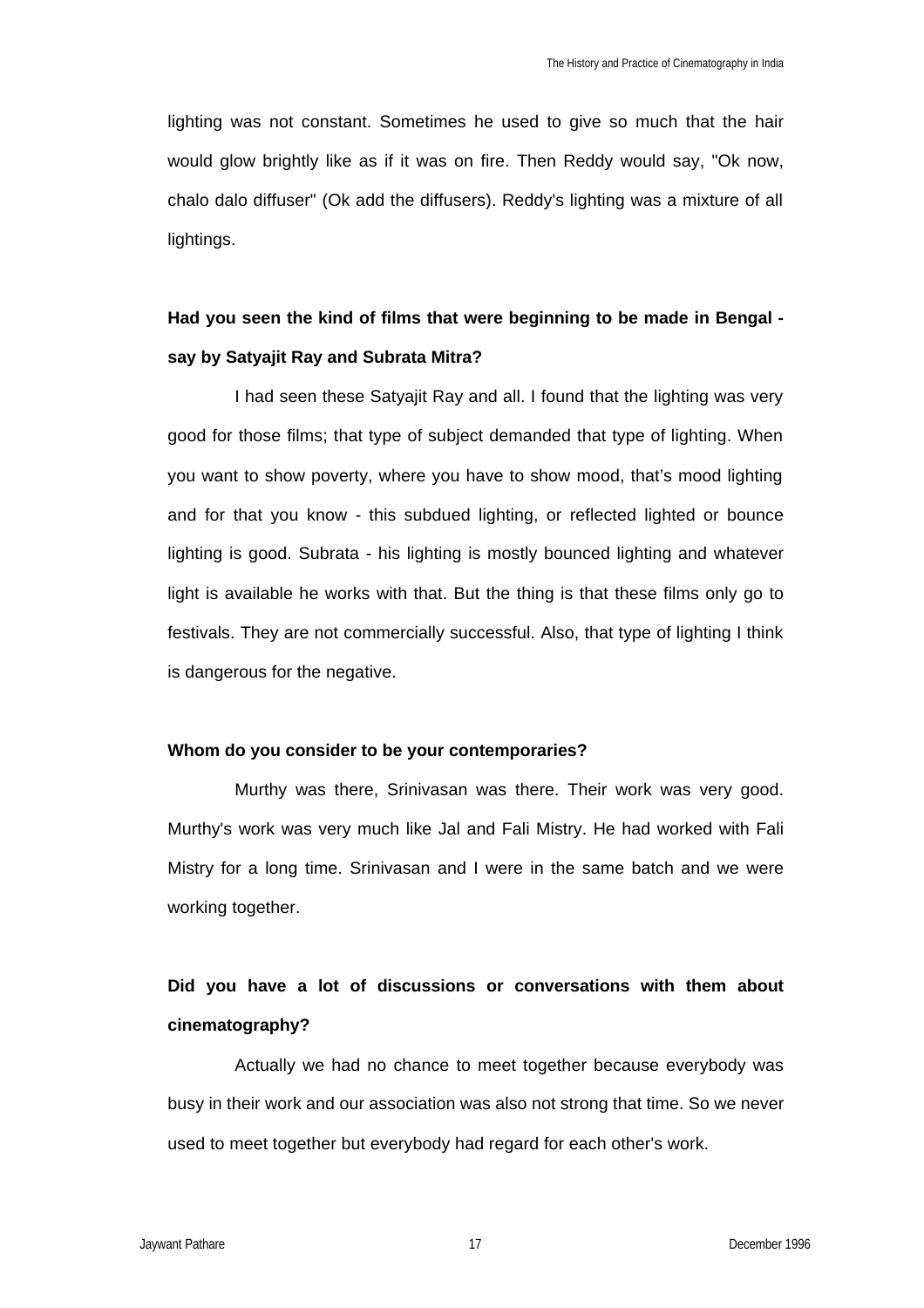lighting was not constant. Sometimes he used to give so much that the hair would glow brightly like as if it was on fire. Then Reddy would say, "Ok now, chalo dalo diffuser" (Ok add the diffusers). Reddy's lighting was a mixture of all lightings.

# **Had you seen the kind of films that were beginning to be made in Bengal say by Satyajit Ray and Subrata Mitra?**

I had seen these Satyajit Ray and all. I found that the lighting was very good for those films; that type of subject demanded that type of lighting. When you want to show poverty, where you have to show mood, that's mood lighting and for that you know - this subdued lighting, or reflected lighted or bounce lighting is good. Subrata - his lighting is mostly bounced lighting and whatever light is available he works with that. But the thing is that these films only go to festivals. They are not commercially successful. Also, that type of lighting I think is dangerous for the negative.

### **Whom do you consider to be your contemporaries?**

Murthy was there, Srinivasan was there. Their work was very good. Murthy's work was very much like Jal and Fali Mistry. He had worked with Fali Mistry for a long time. Srinivasan and I were in the same batch and we were working together.

# **Did you have a lot of discussions or conversations with them about cinematography?**

Actually we had no chance to meet together because everybody was busy in their work and our association was also not strong that time. So we never used to meet together but everybody had regard for each other's work.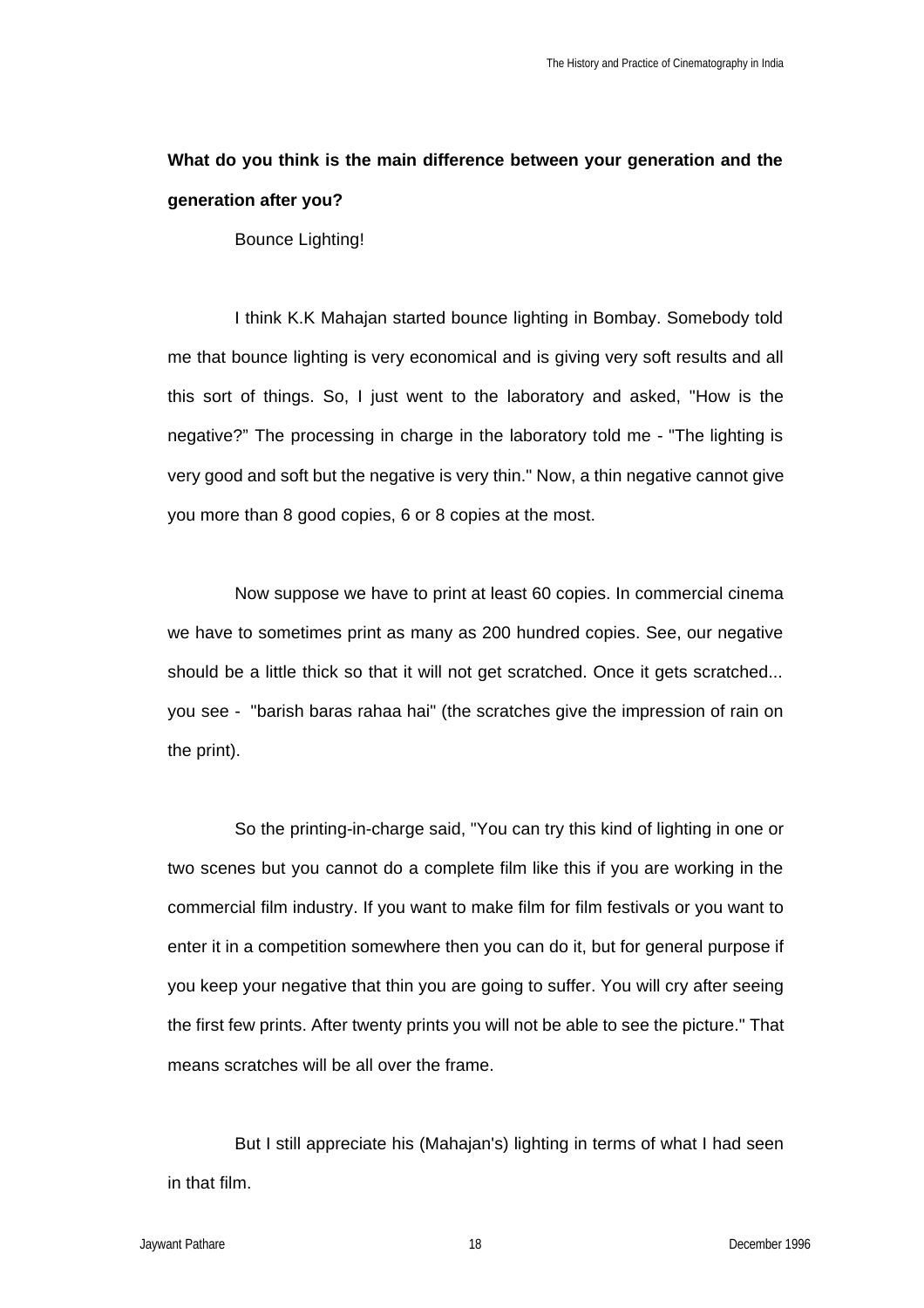# **What do you think is the main difference between your generation and the generation after you?**

Bounce Lighting!

I think K.K Mahajan started bounce lighting in Bombay. Somebody told me that bounce lighting is very economical and is giving very soft results and all this sort of things. So, I just went to the laboratory and asked, "How is the negative?" The processing in charge in the laboratory told me - "The lighting is very good and soft but the negative is very thin." Now, a thin negative cannot give you more than 8 good copies, 6 or 8 copies at the most.

Now suppose we have to print at least 60 copies. In commercial cinema we have to sometimes print as many as 200 hundred copies. See, our negative should be a little thick so that it will not get scratched. Once it gets scratched... you see - "barish baras rahaa hai" (the scratches give the impression of rain on the print).

So the printing-in-charge said, "You can try this kind of lighting in one or two scenes but you cannot do a complete film like this if you are working in the commercial film industry. If you want to make film for film festivals or you want to enter it in a competition somewhere then you can do it, but for general purpose if you keep your negative that thin you are going to suffer. You will cry after seeing the first few prints. After twenty prints you will not be able to see the picture." That means scratches will be all over the frame.

But I still appreciate his (Mahajan's) lighting in terms of what I had seen in that film.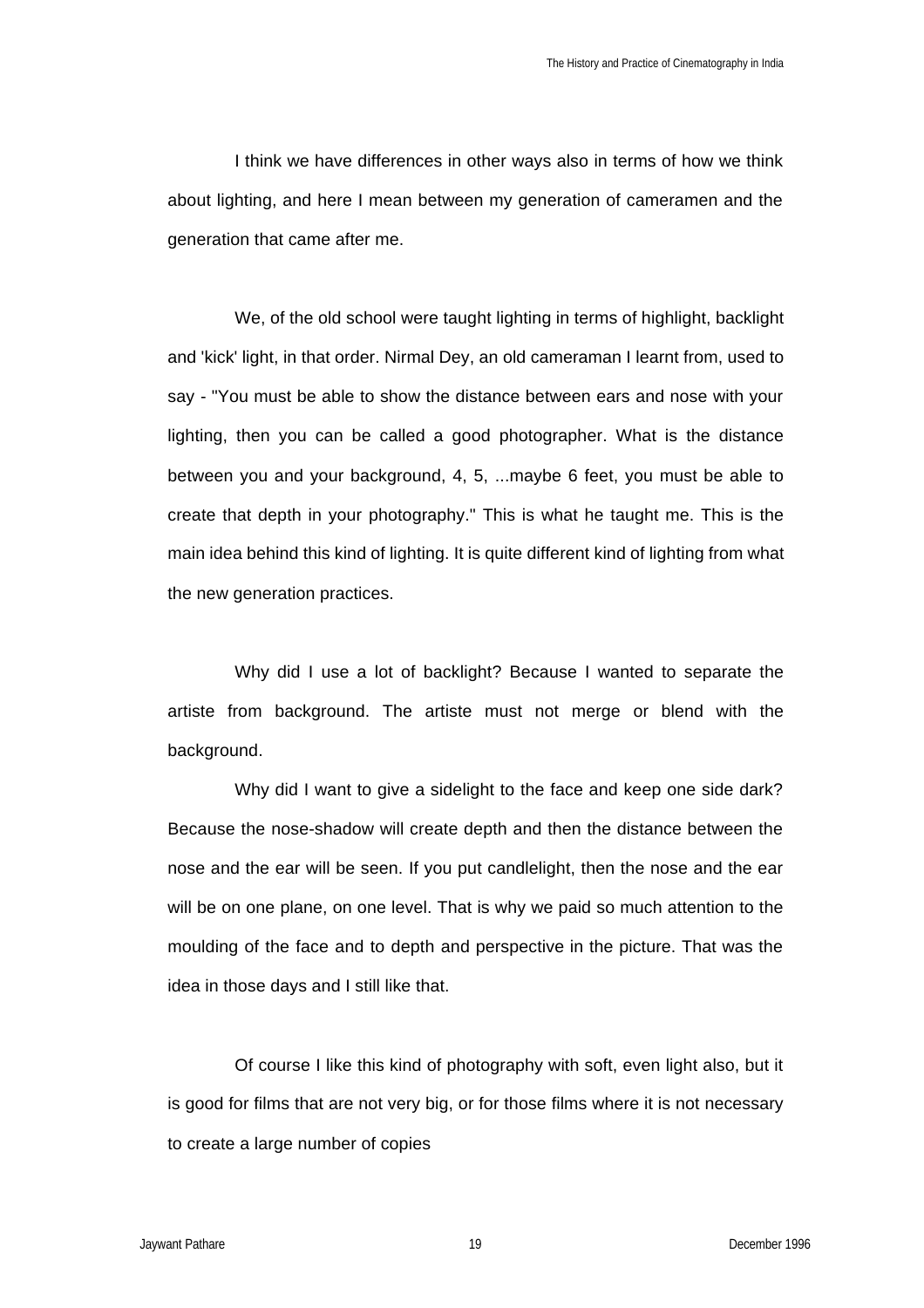I think we have differences in other ways also in terms of how we think about lighting, and here I mean between my generation of cameramen and the generation that came after me.

We, of the old school were taught lighting in terms of highlight, backlight and 'kick' light, in that order. Nirmal Dey, an old cameraman I learnt from, used to say - "You must be able to show the distance between ears and nose with your lighting, then you can be called a good photographer. What is the distance between you and your background, 4, 5, ...maybe 6 feet, you must be able to create that depth in your photography." This is what he taught me. This is the main idea behind this kind of lighting. It is quite different kind of lighting from what the new generation practices.

Why did I use a lot of backlight? Because I wanted to separate the artiste from background. The artiste must not merge or blend with the background.

Why did I want to give a sidelight to the face and keep one side dark? Because the nose-shadow will create depth and then the distance between the nose and the ear will be seen. If you put candlelight, then the nose and the ear will be on one plane, on one level. That is why we paid so much attention to the moulding of the face and to depth and perspective in the picture. That was the idea in those days and I still like that.

Of course I like this kind of photography with soft, even light also, but it is good for films that are not very big, or for those films where it is not necessary to create a large number of copies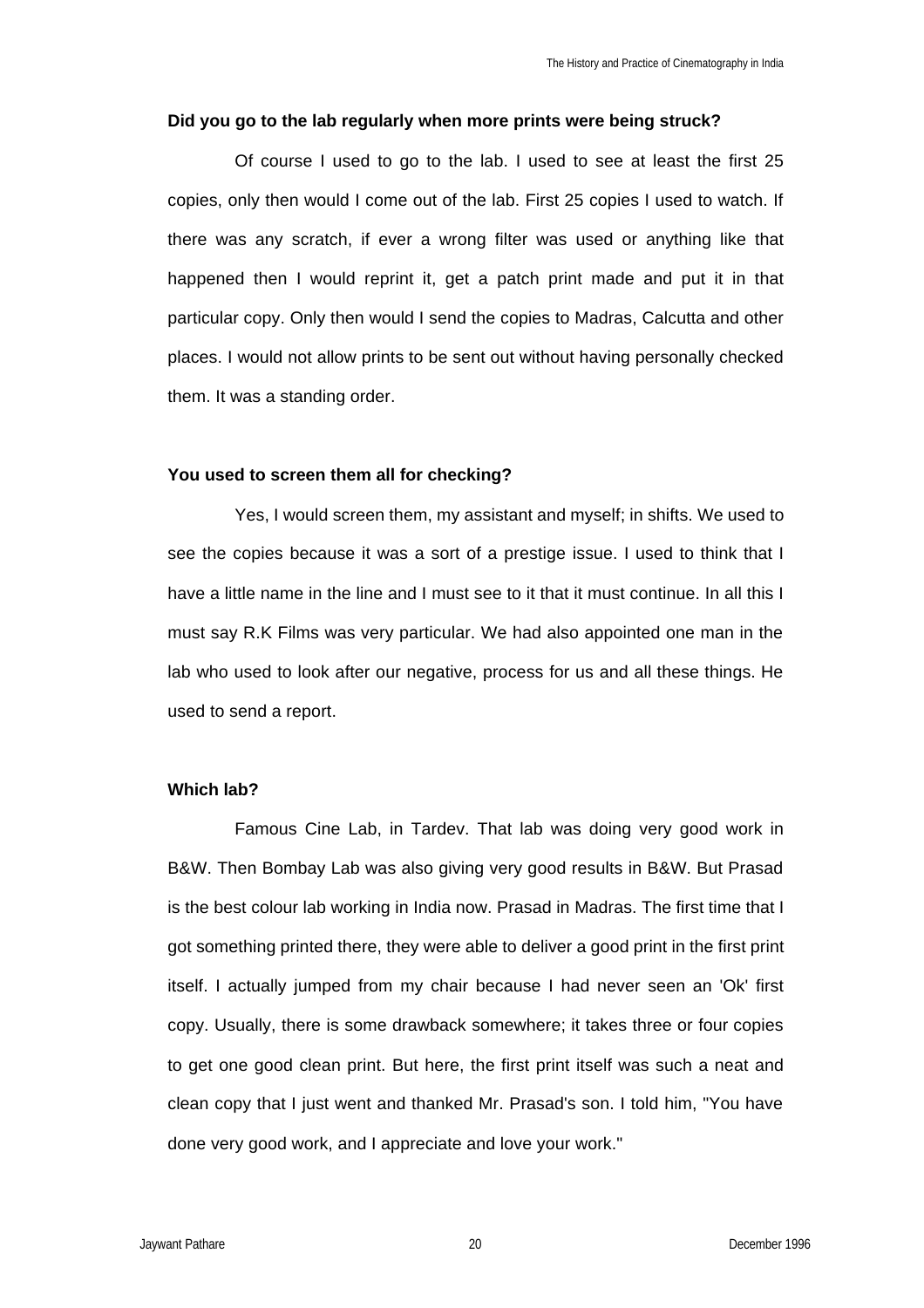#### **Did you go to the lab regularly when more prints were being struck?**

Of course I used to go to the lab. I used to see at least the first 25 copies, only then would I come out of the lab. First 25 copies I used to watch. If there was any scratch, if ever a wrong filter was used or anything like that happened then I would reprint it, get a patch print made and put it in that particular copy. Only then would I send the copies to Madras, Calcutta and other places. I would not allow prints to be sent out without having personally checked them. It was a standing order.

#### **You used to screen them all for checking?**

Yes, I would screen them, my assistant and myself; in shifts. We used to see the copies because it was a sort of a prestige issue. I used to think that I have a little name in the line and I must see to it that it must continue. In all this I must say R.K Films was very particular. We had also appointed one man in the lab who used to look after our negative, process for us and all these things. He used to send a report.

## **Which lab?**

Famous Cine Lab, in Tardev. That lab was doing very good work in B&W. Then Bombay Lab was also giving very good results in B&W. But Prasad is the best colour lab working in India now. Prasad in Madras. The first time that I got something printed there, they were able to deliver a good print in the first print itself. I actually jumped from my chair because I had never seen an 'Ok' first copy. Usually, there is some drawback somewhere; it takes three or four copies to get one good clean print. But here, the first print itself was such a neat and clean copy that I just went and thanked Mr. Prasad's son. I told him, "You have done very good work, and I appreciate and love your work."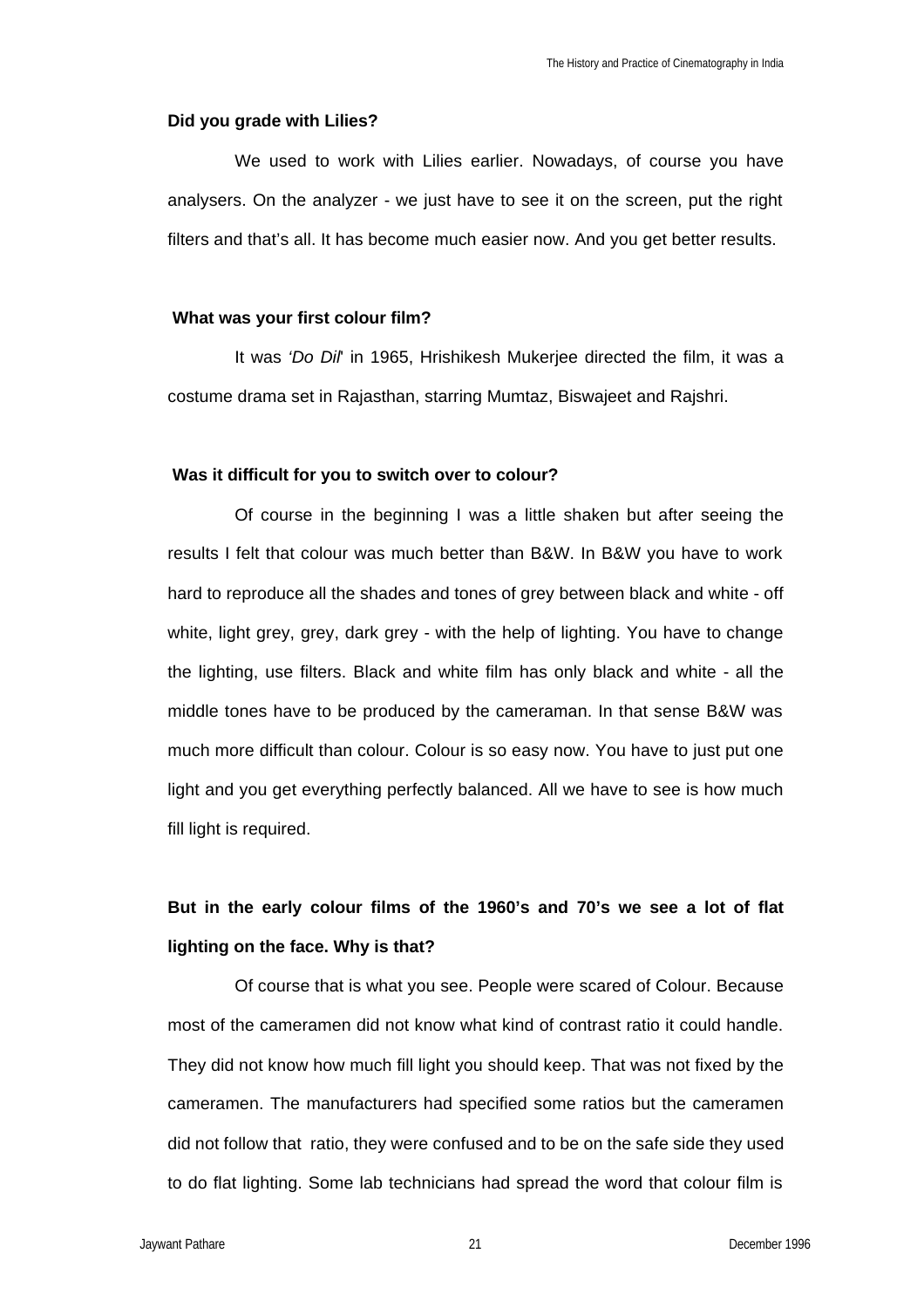#### **Did you grade with Lilies?**

We used to work with Lilies earlier. Nowadays, of course you have analysers. On the analyzer - we just have to see it on the screen, put the right filters and that's all. It has become much easier now. And you get better results.

### **What was your first colour film?**

It was *'Do Dil*' in 1965, Hrishikesh Mukerjee directed the film, it was a costume drama set in Rajasthan, starring Mumtaz, Biswajeet and Rajshri.

#### **Was it difficult for you to switch over to colour?**

Of course in the beginning I was a little shaken but after seeing the results I felt that colour was much better than B&W. In B&W you have to work hard to reproduce all the shades and tones of grey between black and white - off white, light grey, grey, dark grey - with the help of lighting. You have to change the lighting, use filters. Black and white film has only black and white - all the middle tones have to be produced by the cameraman. In that sense B&W was much more difficult than colour. Colour is so easy now. You have to just put one light and you get everything perfectly balanced. All we have to see is how much fill light is required.

# **But in the early colour films of the 1960's and 70's we see a lot of flat lighting on the face. Why is that?**

Of course that is what you see. People were scared of Colour. Because most of the cameramen did not know what kind of contrast ratio it could handle. They did not know how much fill light you should keep. That was not fixed by the cameramen. The manufacturers had specified some ratios but the cameramen did not follow that ratio, they were confused and to be on the safe side they used to do flat lighting. Some lab technicians had spread the word that colour film is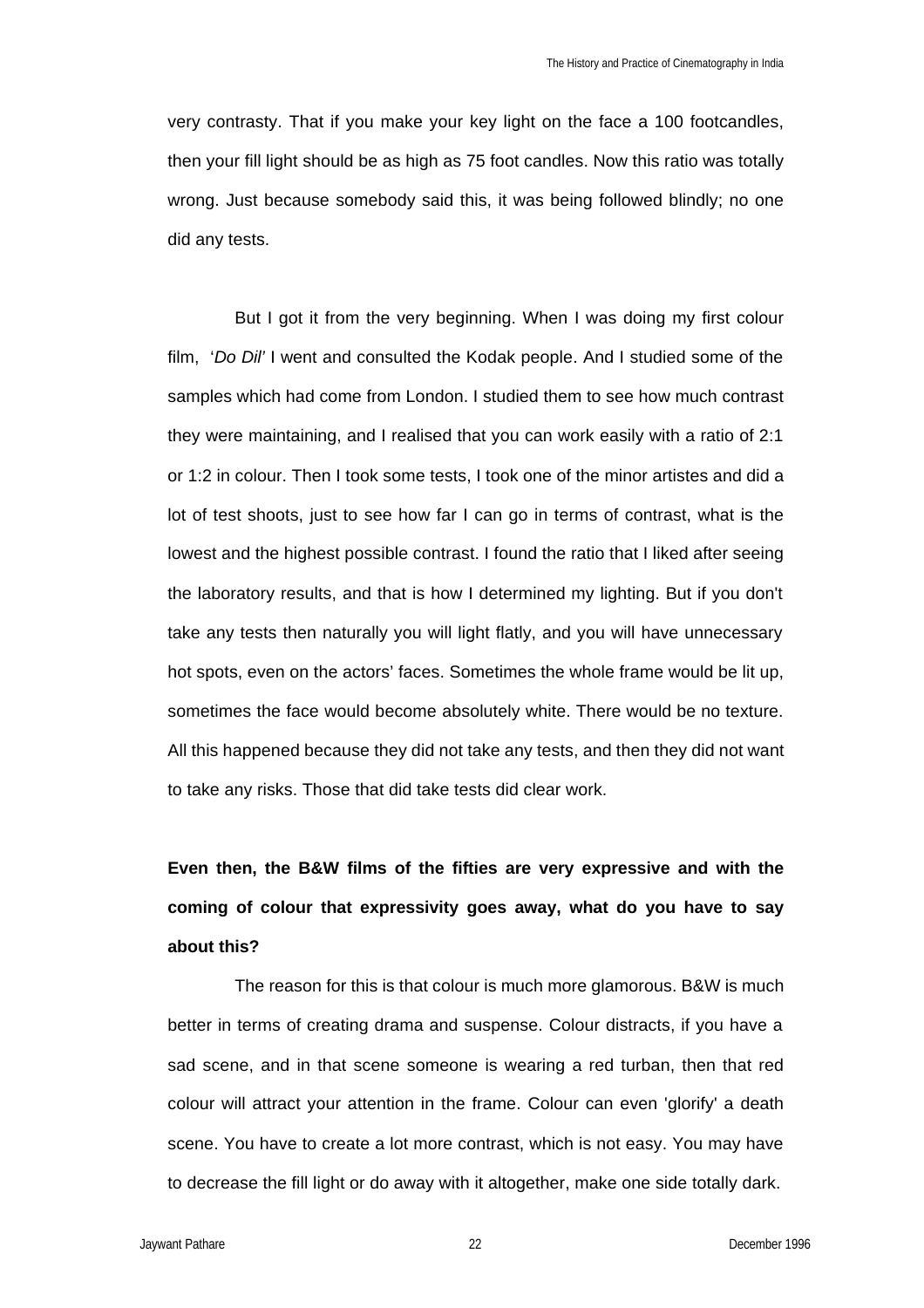very contrasty. That if you make your key light on the face a 100 footcandles, then your fill light should be as high as 75 foot candles. Now this ratio was totally wrong. Just because somebody said this, it was being followed blindly; no one did any tests.

But I got it from the very beginning. When I was doing my first colour film, '*Do Dil'* I went and consulted the Kodak people. And I studied some of the samples which had come from London. I studied them to see how much contrast they were maintaining, and I realised that you can work easily with a ratio of 2:1 or 1:2 in colour. Then I took some tests, I took one of the minor artistes and did a lot of test shoots, just to see how far I can go in terms of contrast, what is the lowest and the highest possible contrast. I found the ratio that I liked after seeing the laboratory results, and that is how I determined my lighting. But if you don't take any tests then naturally you will light flatly, and you will have unnecessary hot spots, even on the actors' faces. Sometimes the whole frame would be lit up, sometimes the face would become absolutely white. There would be no texture. All this happened because they did not take any tests, and then they did not want to take any risks. Those that did take tests did clear work.

**Even then, the B&W films of the fifties are very expressive and with the coming of colour that expressivity goes away, what do you have to say about this?**

The reason for this is that colour is much more glamorous. B&W is much better in terms of creating drama and suspense. Colour distracts, if you have a sad scene, and in that scene someone is wearing a red turban, then that red colour will attract your attention in the frame. Colour can even 'glorify' a death scene. You have to create a lot more contrast, which is not easy. You may have to decrease the fill light or do away with it altogether, make one side totally dark.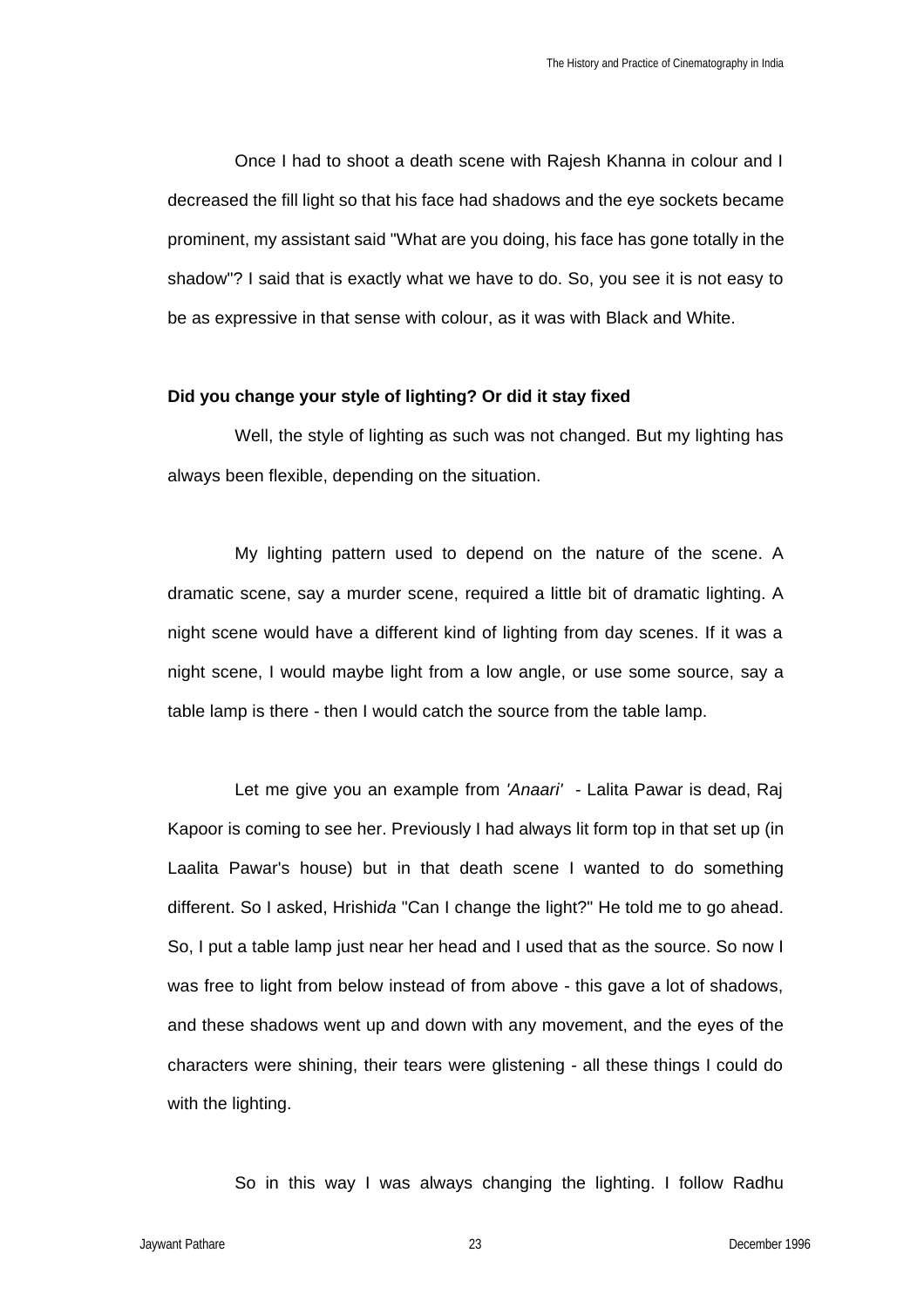Once I had to shoot a death scene with Rajesh Khanna in colour and I decreased the fill light so that his face had shadows and the eye sockets became prominent, my assistant said "What are you doing, his face has gone totally in the shadow"? I said that is exactly what we have to do. So, you see it is not easy to be as expressive in that sense with colour, as it was with Black and White.

#### **Did you change your style of lighting? Or did it stay fixed**

Well, the style of lighting as such was not changed. But my lighting has always been flexible, depending on the situation.

My lighting pattern used to depend on the nature of the scene. A dramatic scene, say a murder scene, required a little bit of dramatic lighting. A night scene would have a different kind of lighting from day scenes. If it was a night scene, I would maybe light from a low angle, or use some source, say a table lamp is there - then I would catch the source from the table lamp.

Let me give you an example from *'Anaari'* - Lalita Pawar is dead, Raj Kapoor is coming to see her. Previously I had always lit form top in that set up (in Laalita Pawar's house) but in that death scene I wanted to do something different. So I asked, Hrishi*da* "Can I change the light?" He told me to go ahead. So, I put a table lamp just near her head and I used that as the source. So now I was free to light from below instead of from above - this gave a lot of shadows, and these shadows went up and down with any movement, and the eyes of the characters were shining, their tears were glistening - all these things I could do with the lighting.

So in this way I was always changing the lighting. I follow Radhu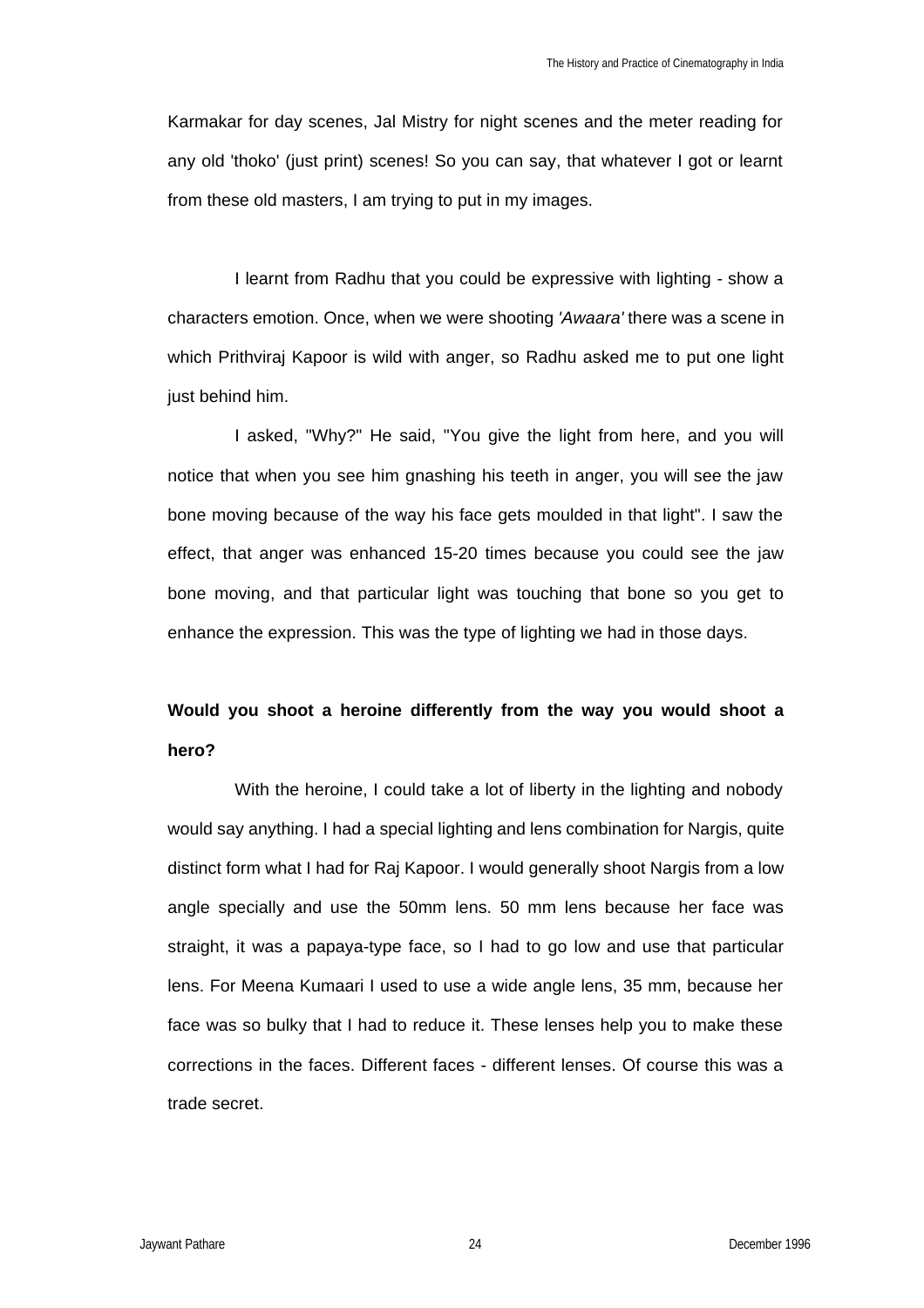Karmakar for day scenes, Jal Mistry for night scenes and the meter reading for any old 'thoko' (just print) scenes! So you can say, that whatever I got or learnt from these old masters, I am trying to put in my images.

I learnt from Radhu that you could be expressive with lighting - show a characters emotion. Once, when we were shooting *'Awaara'* there was a scene in which Prithviraj Kapoor is wild with anger, so Radhu asked me to put one light just behind him.

I asked, "Why?" He said, "You give the light from here, and you will notice that when you see him gnashing his teeth in anger, you will see the jaw bone moving because of the way his face gets moulded in that light". I saw the effect, that anger was enhanced 15-20 times because you could see the jaw bone moving, and that particular light was touching that bone so you get to enhance the expression. This was the type of lighting we had in those days.

# **Would you shoot a heroine differently from the way you would shoot a hero?**

With the heroine, I could take a lot of liberty in the lighting and nobody would say anything. I had a special lighting and lens combination for Nargis, quite distinct form what I had for Raj Kapoor. I would generally shoot Nargis from a low angle specially and use the 50mm lens. 50 mm lens because her face was straight, it was a papaya-type face, so I had to go low and use that particular lens. For Meena Kumaari I used to use a wide angle lens, 35 mm, because her face was so bulky that I had to reduce it. These lenses help you to make these corrections in the faces. Different faces - different lenses. Of course this was a trade secret.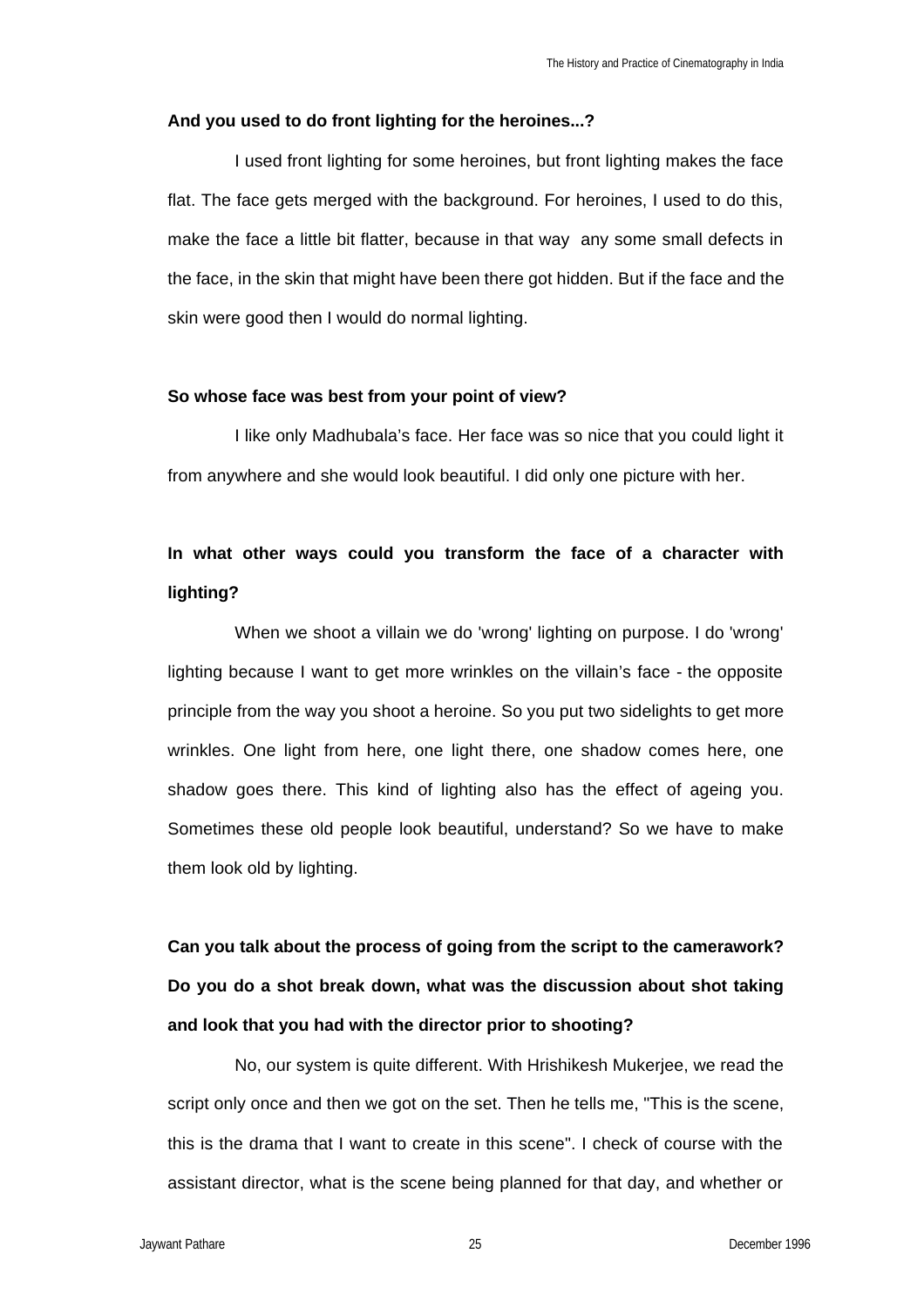#### **And you used to do front lighting for the heroines...?**

I used front lighting for some heroines, but front lighting makes the face flat. The face gets merged with the background. For heroines, I used to do this, make the face a little bit flatter, because in that way any some small defects in the face, in the skin that might have been there got hidden. But if the face and the skin were good then I would do normal lighting.

#### **So whose face was best from your point of view?**

I like only Madhubala's face. Her face was so nice that you could light it from anywhere and she would look beautiful. I did only one picture with her.

# **In what other ways could you transform the face of a character with lighting?**

When we shoot a villain we do 'wrong' lighting on purpose. I do 'wrong' lighting because I want to get more wrinkles on the villain's face - the opposite principle from the way you shoot a heroine. So you put two sidelights to get more wrinkles. One light from here, one light there, one shadow comes here, one shadow goes there. This kind of lighting also has the effect of ageing you. Sometimes these old people look beautiful, understand? So we have to make them look old by lighting.

**Can you talk about the process of going from the script to the camerawork? Do you do a shot break down, what was the discussion about shot taking and look that you had with the director prior to shooting?**

No, our system is quite different. With Hrishikesh Mukerjee, we read the script only once and then we got on the set. Then he tells me, "This is the scene, this is the drama that I want to create in this scene". I check of course with the assistant director, what is the scene being planned for that day, and whether or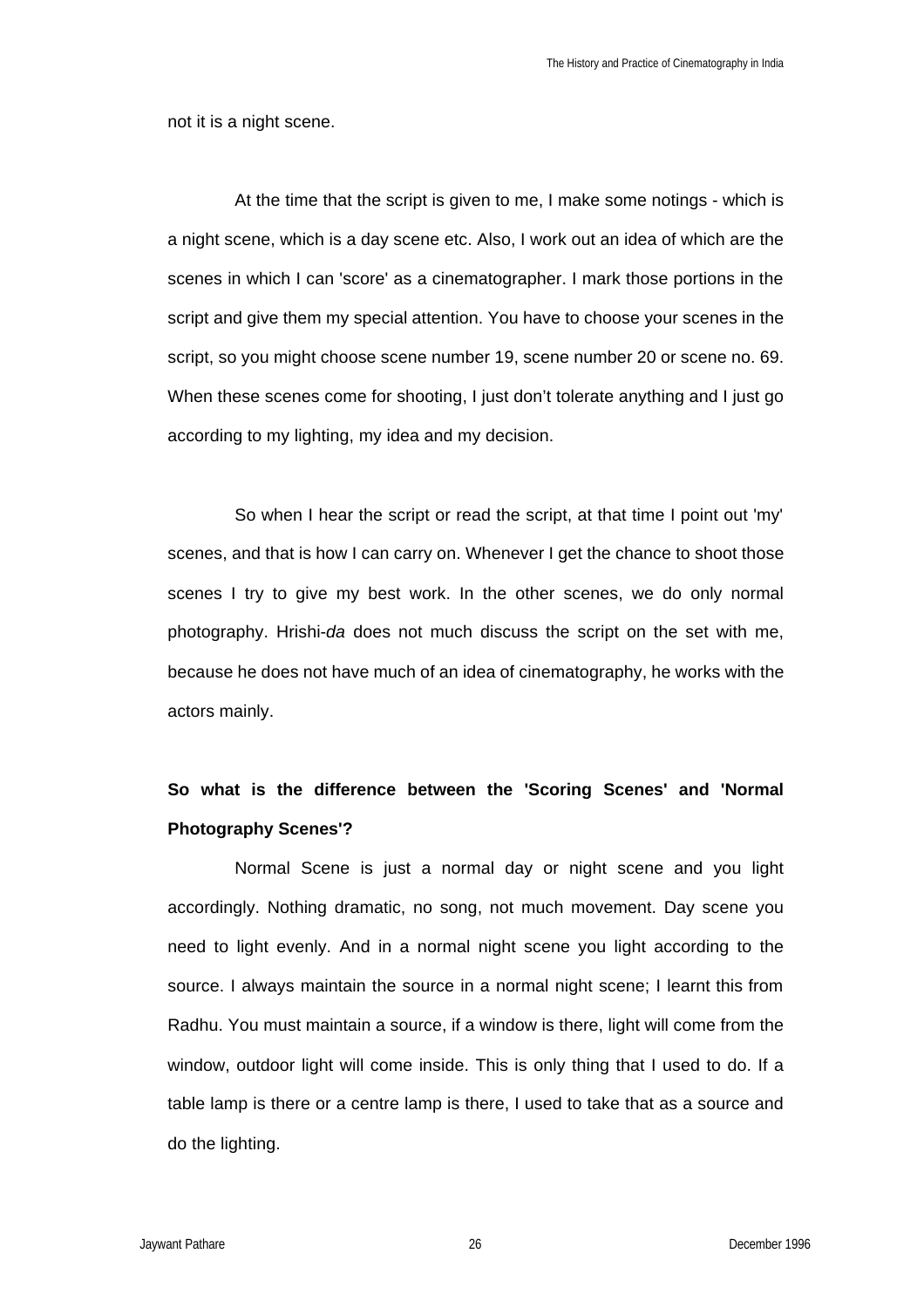not it is a night scene.

At the time that the script is given to me, I make some notings - which is a night scene, which is a day scene etc. Also, I work out an idea of which are the scenes in which I can 'score' as a cinematographer. I mark those portions in the script and give them my special attention. You have to choose your scenes in the script, so you might choose scene number 19, scene number 20 or scene no. 69. When these scenes come for shooting, I just don't tolerate anything and I just go according to my lighting, my idea and my decision.

So when I hear the script or read the script, at that time I point out 'my' scenes, and that is how I can carry on. Whenever I get the chance to shoot those scenes I try to give my best work. In the other scenes, we do only normal photography. Hrishi-*da* does not much discuss the script on the set with me, because he does not have much of an idea of cinematography, he works with the actors mainly.

# **So what is the difference between the 'Scoring Scenes' and 'Normal Photography Scenes'?**

Normal Scene is just a normal day or night scene and you light accordingly. Nothing dramatic, no song, not much movement. Day scene you need to light evenly. And in a normal night scene you light according to the source. I always maintain the source in a normal night scene; I learnt this from Radhu. You must maintain a source, if a window is there, light will come from the window, outdoor light will come inside. This is only thing that I used to do. If a table lamp is there or a centre lamp is there, I used to take that as a source and do the lighting.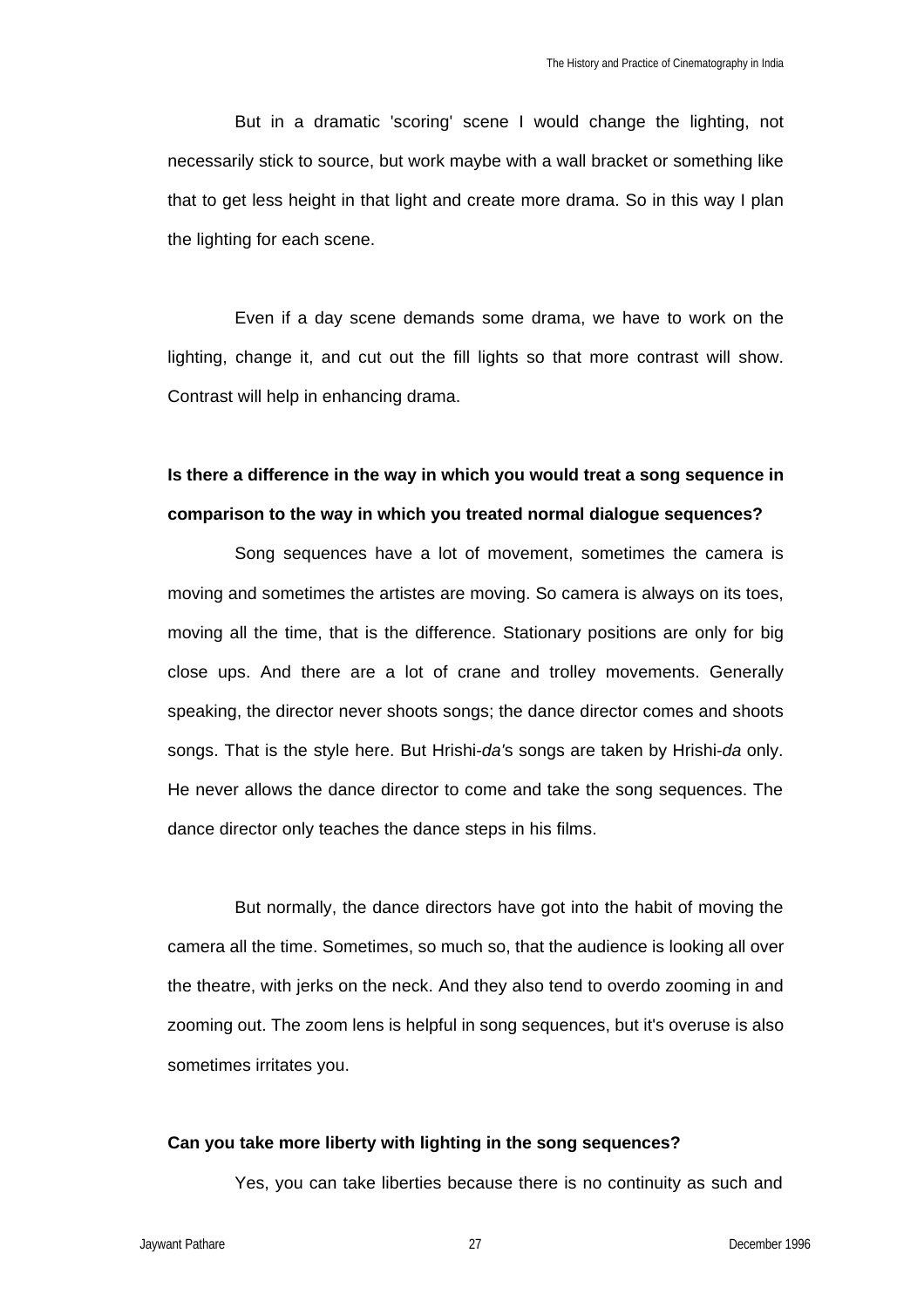But in a dramatic 'scoring' scene I would change the lighting, not necessarily stick to source, but work maybe with a wall bracket or something like that to get less height in that light and create more drama. So in this way I plan the lighting for each scene.

Even if a day scene demands some drama, we have to work on the lighting, change it, and cut out the fill lights so that more contrast will show. Contrast will help in enhancing drama.

# **Is there a difference in the way in which you would treat a song sequence in comparison to the way in which you treated normal dialogue sequences?**

Song sequences have a lot of movement, sometimes the camera is moving and sometimes the artistes are moving. So camera is always on its toes, moving all the time, that is the difference. Stationary positions are only for big close ups. And there are a lot of crane and trolley movements. Generally speaking, the director never shoots songs; the dance director comes and shoots songs. That is the style here. But Hrishi-*da'*s songs are taken by Hrishi-*da* only. He never allows the dance director to come and take the song sequences. The dance director only teaches the dance steps in his films.

But normally, the dance directors have got into the habit of moving the camera all the time. Sometimes, so much so, that the audience is looking all over the theatre, with jerks on the neck. And they also tend to overdo zooming in and zooming out. The zoom lens is helpful in song sequences, but it's overuse is also sometimes irritates you.

### **Can you take more liberty with lighting in the song sequences?**

Yes, you can take liberties because there is no continuity as such and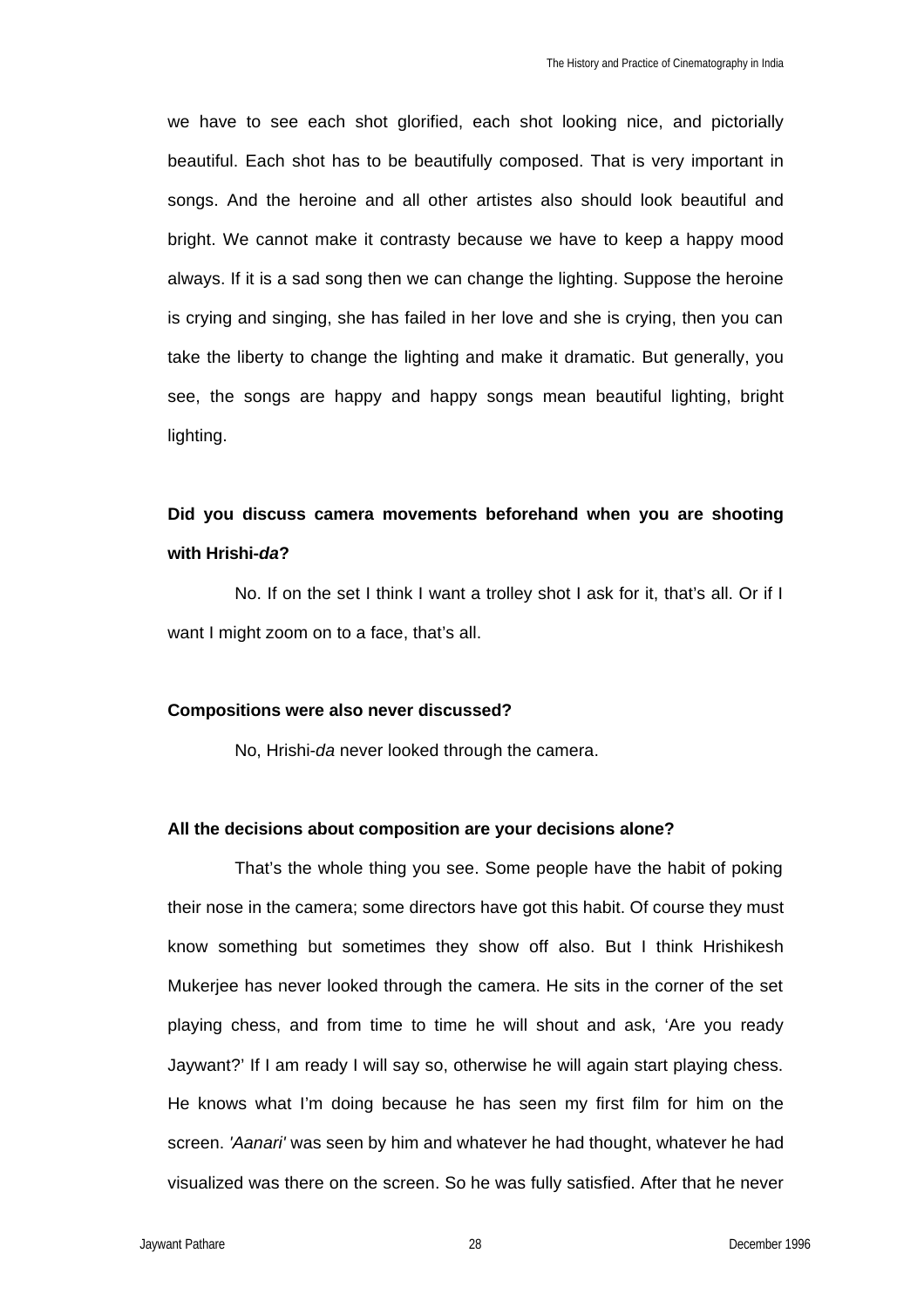we have to see each shot glorified, each shot looking nice, and pictorially beautiful. Each shot has to be beautifully composed. That is very important in songs. And the heroine and all other artistes also should look beautiful and bright. We cannot make it contrasty because we have to keep a happy mood always. If it is a sad song then we can change the lighting. Suppose the heroine is crying and singing, she has failed in her love and she is crying, then you can take the liberty to change the lighting and make it dramatic. But generally, you see, the songs are happy and happy songs mean beautiful lighting, bright lighting.

## **Did you discuss camera movements beforehand when you are shooting with Hrishi-***da***?**

No. If on the set I think I want a trolley shot I ask for it, that's all. Or if I want I might zoom on to a face, that's all.

## **Compositions were also never discussed?**

No, Hrishi-*da* never looked through the camera.

## **All the decisions about composition are your decisions alone?**

That's the whole thing you see. Some people have the habit of poking their nose in the camera; some directors have got this habit. Of course they must know something but sometimes they show off also. But I think Hrishikesh Mukerjee has never looked through the camera. He sits in the corner of the set playing chess, and from time to time he will shout and ask, 'Are you ready Jaywant?' If I am ready I will say so, otherwise he will again start playing chess. He knows what I'm doing because he has seen my first film for him on the screen. *'Aanari'* was seen by him and whatever he had thought, whatever he had visualized was there on the screen. So he was fully satisfied. After that he never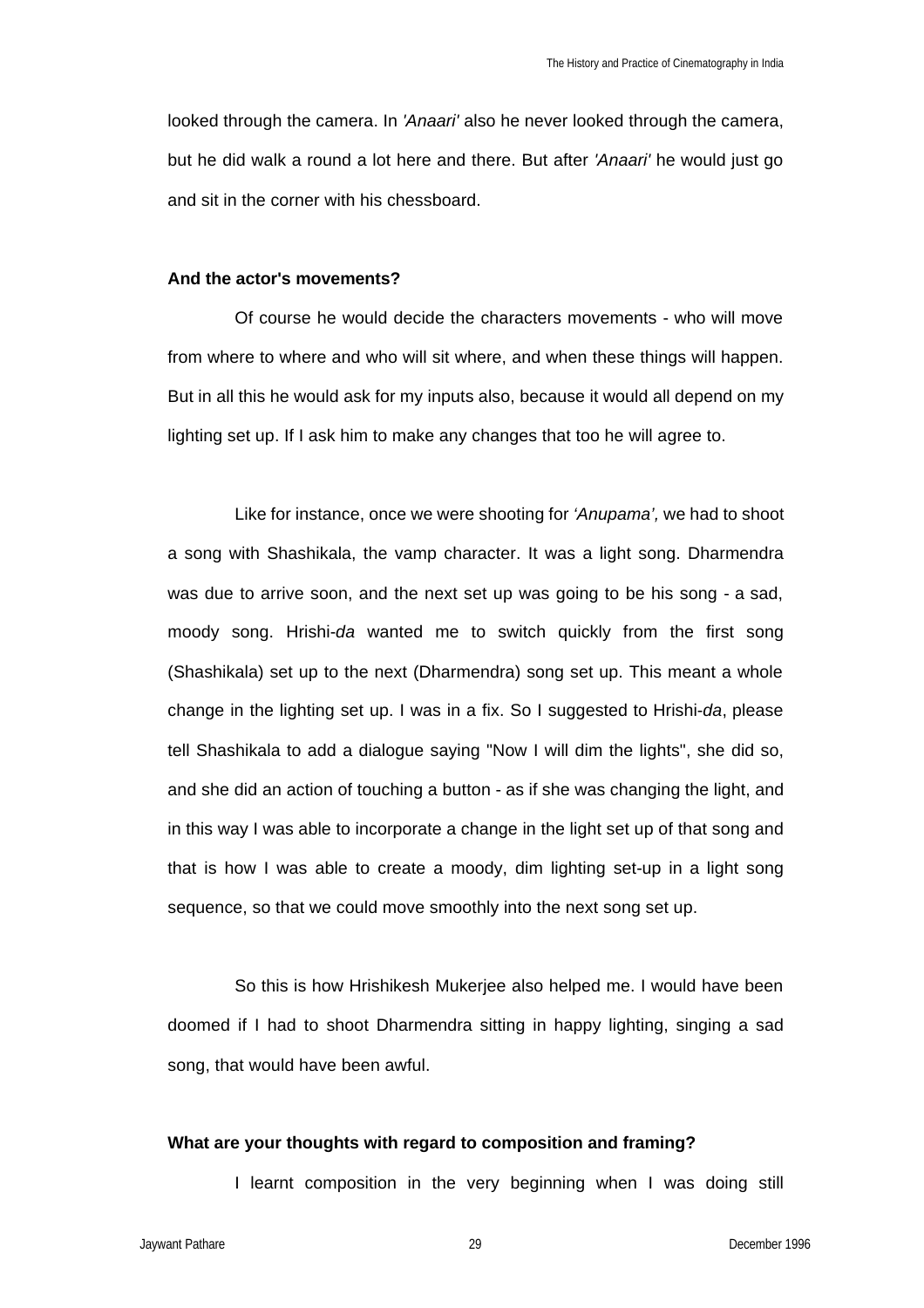looked through the camera. In *'Anaari'* also he never looked through the camera, but he did walk a round a lot here and there. But after *'Anaari'* he would just go and sit in the corner with his chessboard.

#### **And the actor's movements?**

Of course he would decide the characters movements - who will move from where to where and who will sit where, and when these things will happen. But in all this he would ask for my inputs also, because it would all depend on my lighting set up. If I ask him to make any changes that too he will agree to.

Like for instance, once we were shooting for *'Anupama',* we had to shoot a song with Shashikala, the vamp character. It was a light song. Dharmendra was due to arrive soon, and the next set up was going to be his song - a sad, moody song. Hrishi-*da* wanted me to switch quickly from the first song (Shashikala) set up to the next (Dharmendra) song set up. This meant a whole change in the lighting set up. I was in a fix. So I suggested to Hrishi-*da*, please tell Shashikala to add a dialogue saying "Now I will dim the lights", she did so, and she did an action of touching a button - as if she was changing the light, and in this way I was able to incorporate a change in the light set up of that song and that is how I was able to create a moody, dim lighting set-up in a light song sequence, so that we could move smoothly into the next song set up.

So this is how Hrishikesh Mukerjee also helped me. I would have been doomed if I had to shoot Dharmendra sitting in happy lighting, singing a sad song, that would have been awful.

### **What are your thoughts with regard to composition and framing?**

I learnt composition in the very beginning when I was doing still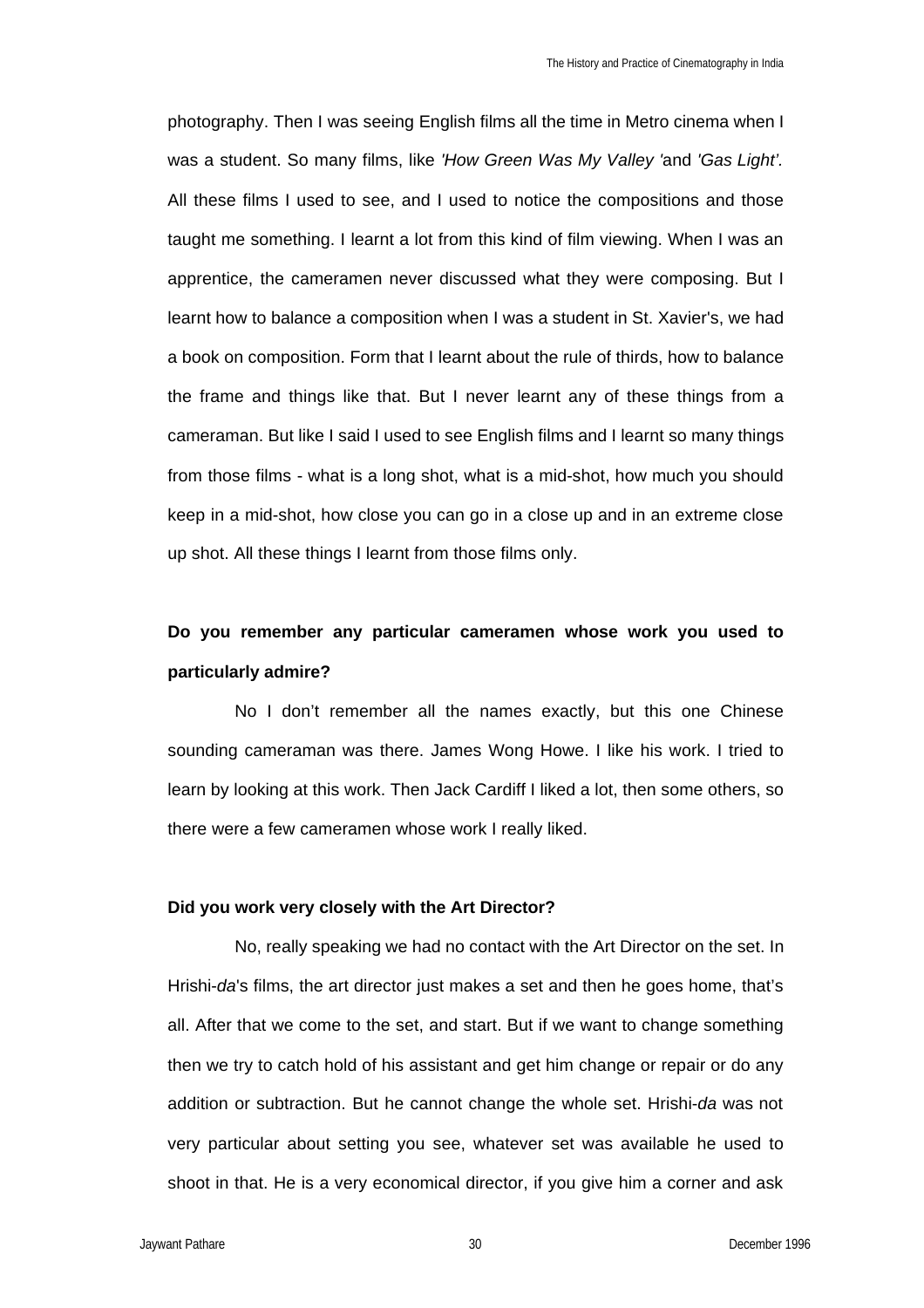photography. Then I was seeing English films all the time in Metro cinema when I was a student. So many films, like *'How Green Was My Valley '*and *'Gas Light'.*  All these films I used to see, and I used to notice the compositions and those taught me something. I learnt a lot from this kind of film viewing. When I was an apprentice, the cameramen never discussed what they were composing. But I learnt how to balance a composition when I was a student in St. Xavier's, we had a book on composition. Form that I learnt about the rule of thirds, how to balance the frame and things like that. But I never learnt any of these things from a cameraman. But like I said I used to see English films and I learnt so many things from those films - what is a long shot, what is a mid-shot, how much you should keep in a mid-shot, how close you can go in a close up and in an extreme close up shot. All these things I learnt from those films only.

# **Do you remember any particular cameramen whose work you used to particularly admire?**

No I don't remember all the names exactly, but this one Chinese sounding cameraman was there. James Wong Howe. I like his work. I tried to learn by looking at this work. Then Jack Cardiff I liked a lot, then some others, so there were a few cameramen whose work I really liked.

## **Did you work very closely with the Art Director?**

No, really speaking we had no contact with the Art Director on the set. In Hrishi-*da*'s films, the art director just makes a set and then he goes home, that's all. After that we come to the set, and start. But if we want to change something then we try to catch hold of his assistant and get him change or repair or do any addition or subtraction. But he cannot change the whole set. Hrishi-*da* was not very particular about setting you see, whatever set was available he used to shoot in that. He is a very economical director, if you give him a corner and ask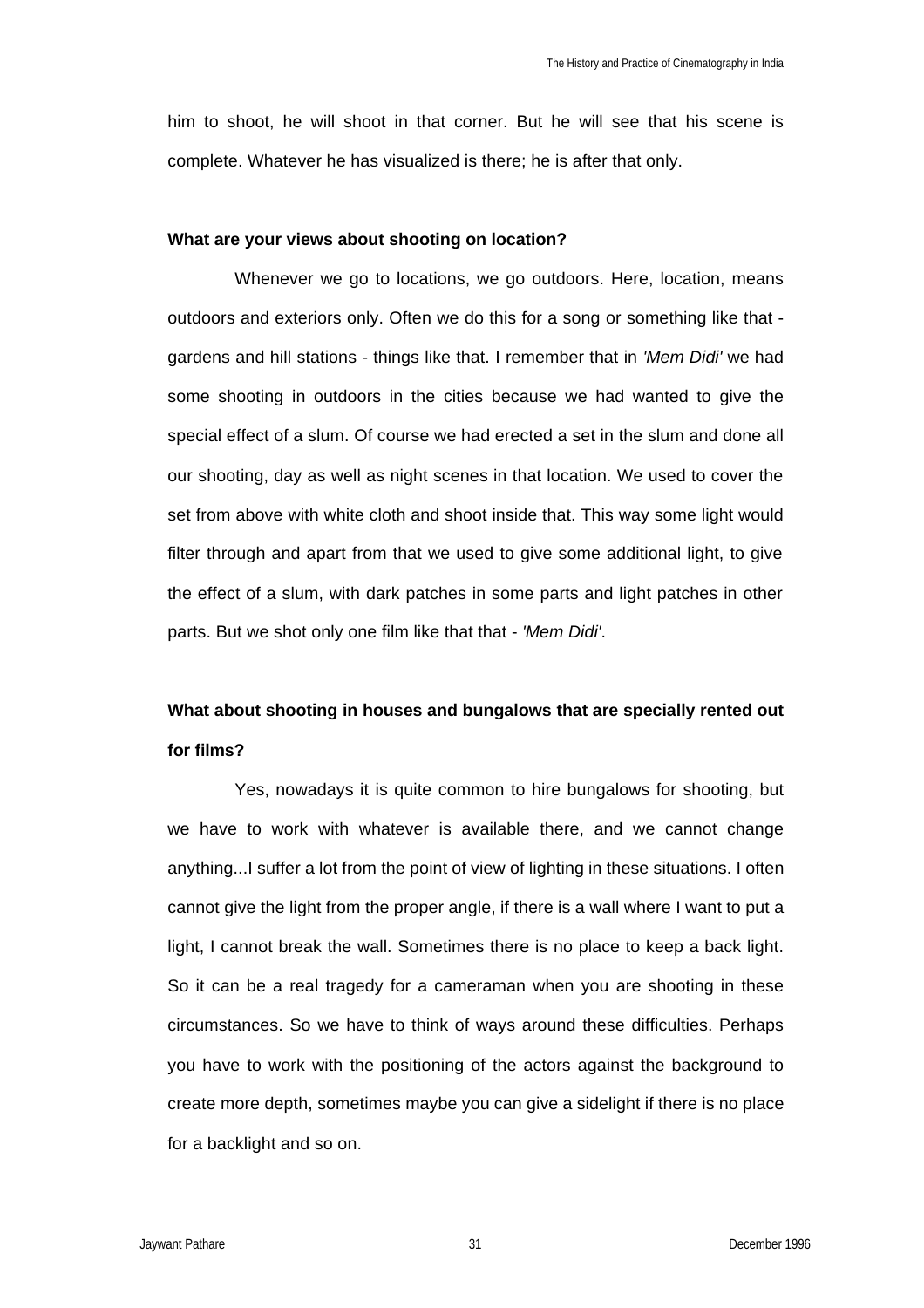him to shoot, he will shoot in that corner. But he will see that his scene is complete. Whatever he has visualized is there; he is after that only.

### **What are your views about shooting on location?**

Whenever we go to locations, we go outdoors. Here, location, means outdoors and exteriors only. Often we do this for a song or something like that gardens and hill stations - things like that. I remember that in *'Mem Didi'* we had some shooting in outdoors in the cities because we had wanted to give the special effect of a slum. Of course we had erected a set in the slum and done all our shooting, day as well as night scenes in that location. We used to cover the set from above with white cloth and shoot inside that. This way some light would filter through and apart from that we used to give some additional light, to give the effect of a slum, with dark patches in some parts and light patches in other parts. But we shot only one film like that that - *'Mem Didi'*.

# **What about shooting in houses and bungalows that are specially rented out for films?**

Yes, nowadays it is quite common to hire bungalows for shooting, but we have to work with whatever is available there, and we cannot change anything...I suffer a lot from the point of view of lighting in these situations. I often cannot give the light from the proper angle, if there is a wall where I want to put a light, I cannot break the wall. Sometimes there is no place to keep a back light. So it can be a real tragedy for a cameraman when you are shooting in these circumstances. So we have to think of ways around these difficulties. Perhaps you have to work with the positioning of the actors against the background to create more depth, sometimes maybe you can give a sidelight if there is no place for a backlight and so on.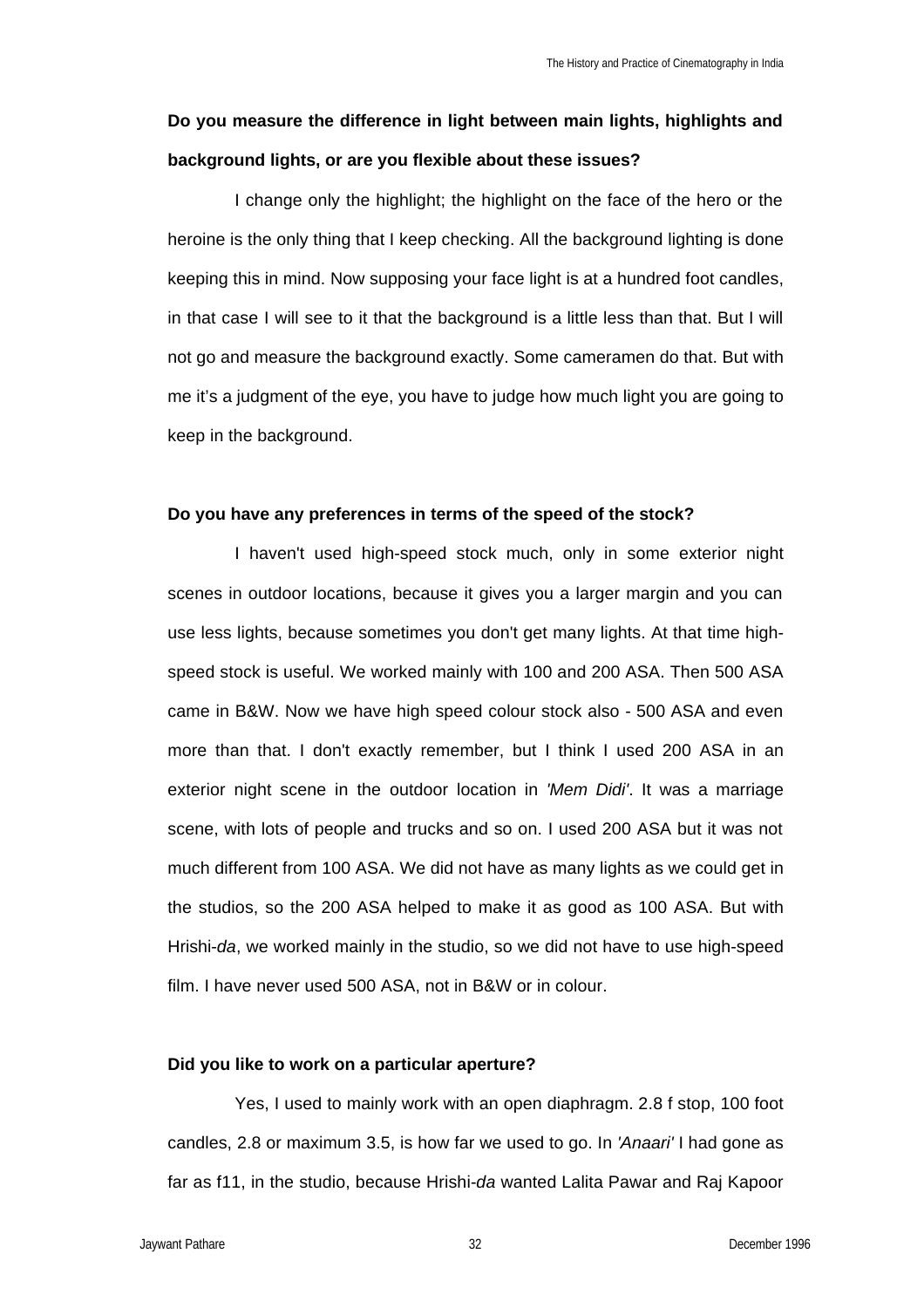# **Do you measure the difference in light between main lights, highlights and background lights, or are you flexible about these issues?**

I change only the highlight; the highlight on the face of the hero or the heroine is the only thing that I keep checking. All the background lighting is done keeping this in mind. Now supposing your face light is at a hundred foot candles, in that case I will see to it that the background is a little less than that. But I will not go and measure the background exactly. Some cameramen do that. But with me it's a judgment of the eye, you have to judge how much light you are going to keep in the background.

### **Do you have any preferences in terms of the speed of the stock?**

I haven't used high-speed stock much, only in some exterior night scenes in outdoor locations, because it gives you a larger margin and you can use less lights, because sometimes you don't get many lights. At that time highspeed stock is useful. We worked mainly with 100 and 200 ASA. Then 500 ASA came in B&W. Now we have high speed colour stock also - 500 ASA and even more than that. I don't exactly remember, but I think I used 200 ASA in an exterior night scene in the outdoor location in *'Mem Didi'*. It was a marriage scene, with lots of people and trucks and so on. I used 200 ASA but it was not much different from 100 ASA. We did not have as many lights as we could get in the studios, so the 200 ASA helped to make it as good as 100 ASA. But with Hrishi-*da*, we worked mainly in the studio, so we did not have to use high-speed film. I have never used 500 ASA, not in B&W or in colour.

## **Did you like to work on a particular aperture?**

Yes, I used to mainly work with an open diaphragm. 2.8 f stop, 100 foot candles, 2.8 or maximum 3.5, is how far we used to go. In *'Anaari'* I had gone as far as f11, in the studio, because Hrishi-*da* wanted Lalita Pawar and Raj Kapoor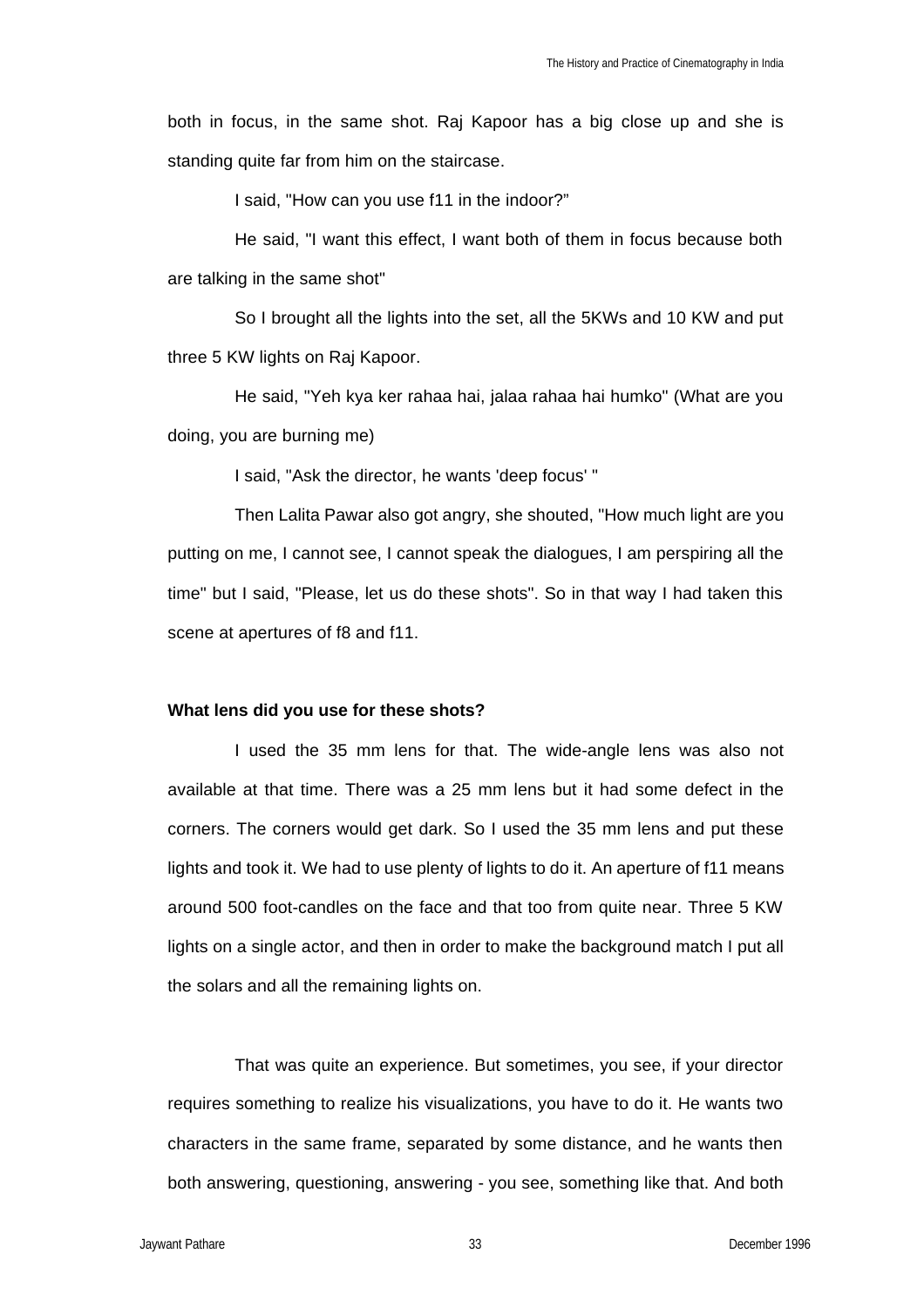both in focus, in the same shot. Raj Kapoor has a big close up and she is standing quite far from him on the staircase.

I said, "How can you use f11 in the indoor?"

He said, "I want this effect, I want both of them in focus because both are talking in the same shot"

So I brought all the lights into the set, all the 5KWs and 10 KW and put three 5 KW lights on Raj Kapoor.

He said, "Yeh kya ker rahaa hai, jalaa rahaa hai humko" (What are you doing, you are burning me)

I said, "Ask the director, he wants 'deep focus' "

Then Lalita Pawar also got angry, she shouted, "How much light are you putting on me, I cannot see, I cannot speak the dialogues, I am perspiring all the time" but I said, "Please, let us do these shots". So in that way I had taken this scene at apertures of f8 and f11.

#### **What lens did you use for these shots?**

I used the 35 mm lens for that. The wide-angle lens was also not available at that time. There was a 25 mm lens but it had some defect in the corners. The corners would get dark. So I used the 35 mm lens and put these lights and took it. We had to use plenty of lights to do it. An aperture of f11 means around 500 foot-candles on the face and that too from quite near. Three 5 KW lights on a single actor, and then in order to make the background match I put all the solars and all the remaining lights on.

That was quite an experience. But sometimes, you see, if your director requires something to realize his visualizations, you have to do it. He wants two characters in the same frame, separated by some distance, and he wants then both answering, questioning, answering - you see, something like that. And both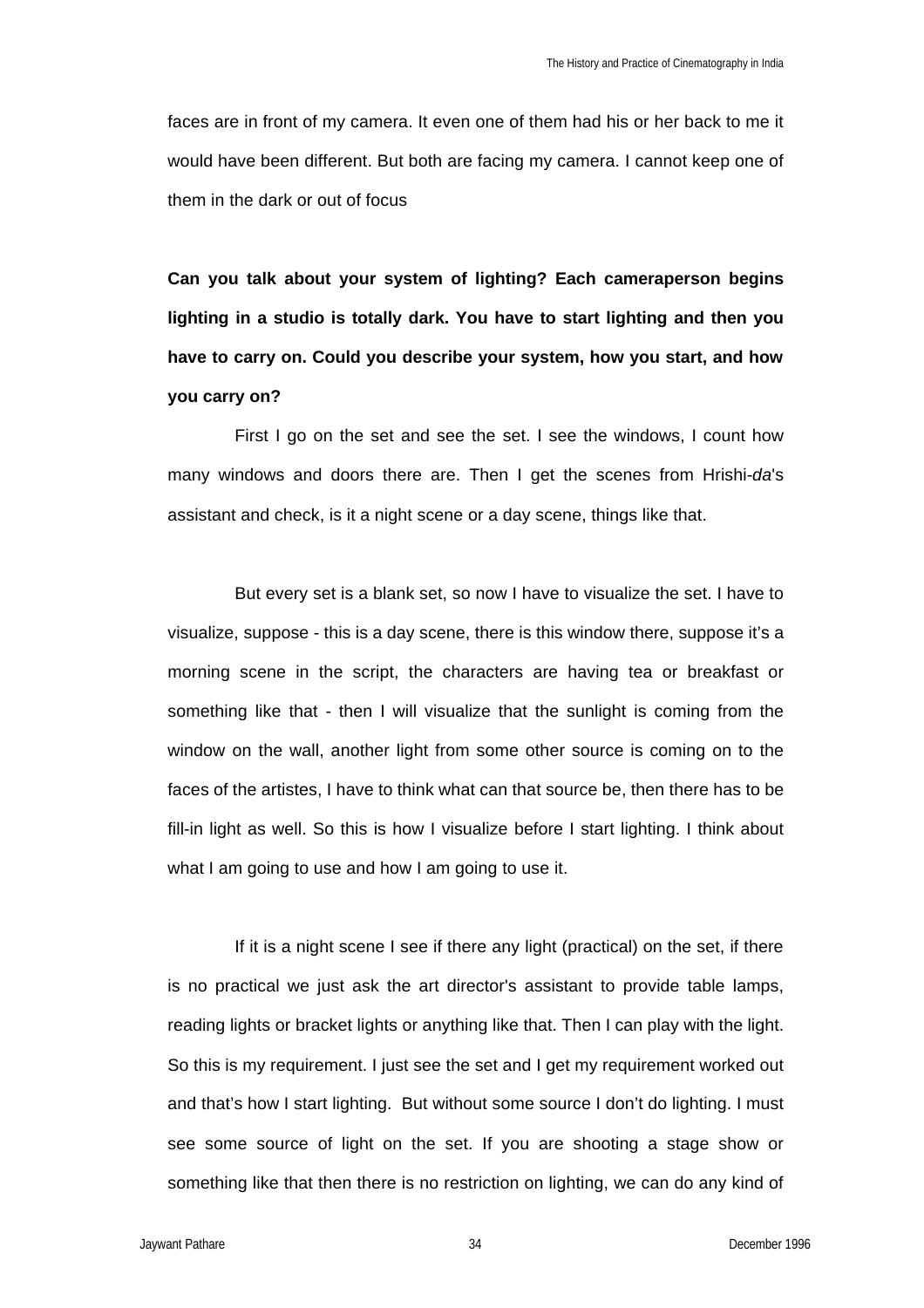faces are in front of my camera. It even one of them had his or her back to me it would have been different. But both are facing my camera. I cannot keep one of them in the dark or out of focus

**Can you talk about your system of lighting? Each cameraperson begins lighting in a studio is totally dark. You have to start lighting and then you have to carry on. Could you describe your system, how you start, and how you carry on?**

First I go on the set and see the set. I see the windows, I count how many windows and doors there are. Then I get the scenes from Hrishi-*da*'s assistant and check, is it a night scene or a day scene, things like that.

But every set is a blank set, so now I have to visualize the set. I have to visualize, suppose - this is a day scene, there is this window there, suppose it's a morning scene in the script, the characters are having tea or breakfast or something like that - then I will visualize that the sunlight is coming from the window on the wall, another light from some other source is coming on to the faces of the artistes, I have to think what can that source be, then there has to be fill-in light as well. So this is how I visualize before I start lighting. I think about what I am going to use and how I am going to use it.

If it is a night scene I see if there any light (practical) on the set, if there is no practical we just ask the art director's assistant to provide table lamps, reading lights or bracket lights or anything like that. Then I can play with the light. So this is my requirement. I just see the set and I get my requirement worked out and that's how I start lighting. But without some source I don't do lighting. I must see some source of light on the set. If you are shooting a stage show or something like that then there is no restriction on lighting, we can do any kind of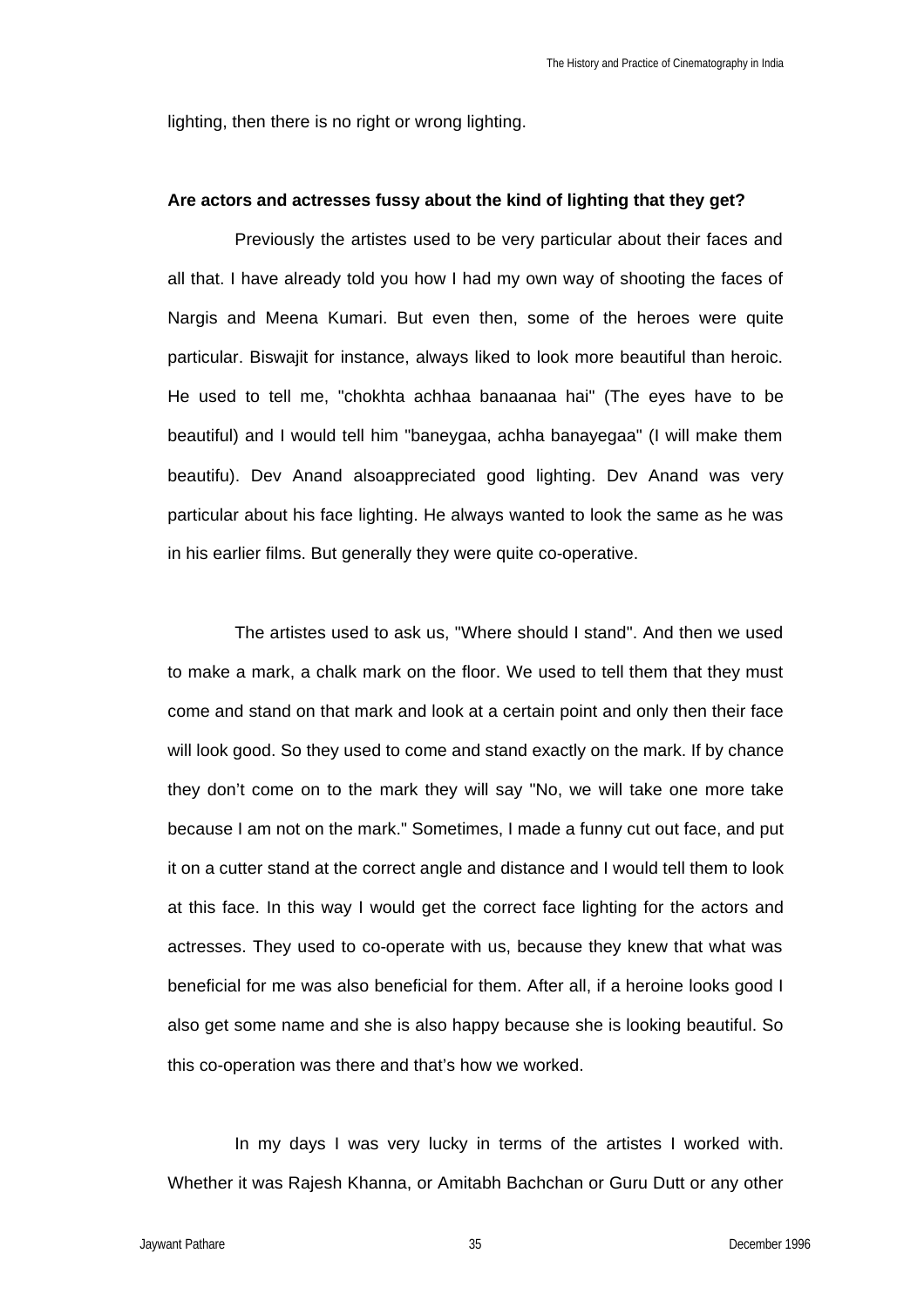lighting, then there is no right or wrong lighting.

#### **Are actors and actresses fussy about the kind of lighting that they get?**

Previously the artistes used to be very particular about their faces and all that. I have already told you how I had my own way of shooting the faces of Nargis and Meena Kumari. But even then, some of the heroes were quite particular. Biswajit for instance, always liked to look more beautiful than heroic. He used to tell me, "chokhta achhaa banaanaa hai" (The eyes have to be beautiful) and I would tell him "baneygaa, achha banayegaa" (I will make them beautifu). Dev Anand alsoappreciated good lighting. Dev Anand was very particular about his face lighting. He always wanted to look the same as he was in his earlier films. But generally they were quite co-operative.

The artistes used to ask us, "Where should I stand". And then we used to make a mark, a chalk mark on the floor. We used to tell them that they must come and stand on that mark and look at a certain point and only then their face will look good. So they used to come and stand exactly on the mark. If by chance they don't come on to the mark they will say "No, we will take one more take because I am not on the mark." Sometimes, I made a funny cut out face, and put it on a cutter stand at the correct angle and distance and I would tell them to look at this face. In this way I would get the correct face lighting for the actors and actresses. They used to co-operate with us, because they knew that what was beneficial for me was also beneficial for them. After all, if a heroine looks good I also get some name and she is also happy because she is looking beautiful. So this co-operation was there and that's how we worked.

In my days I was very lucky in terms of the artistes I worked with. Whether it was Rajesh Khanna, or Amitabh Bachchan or Guru Dutt or any other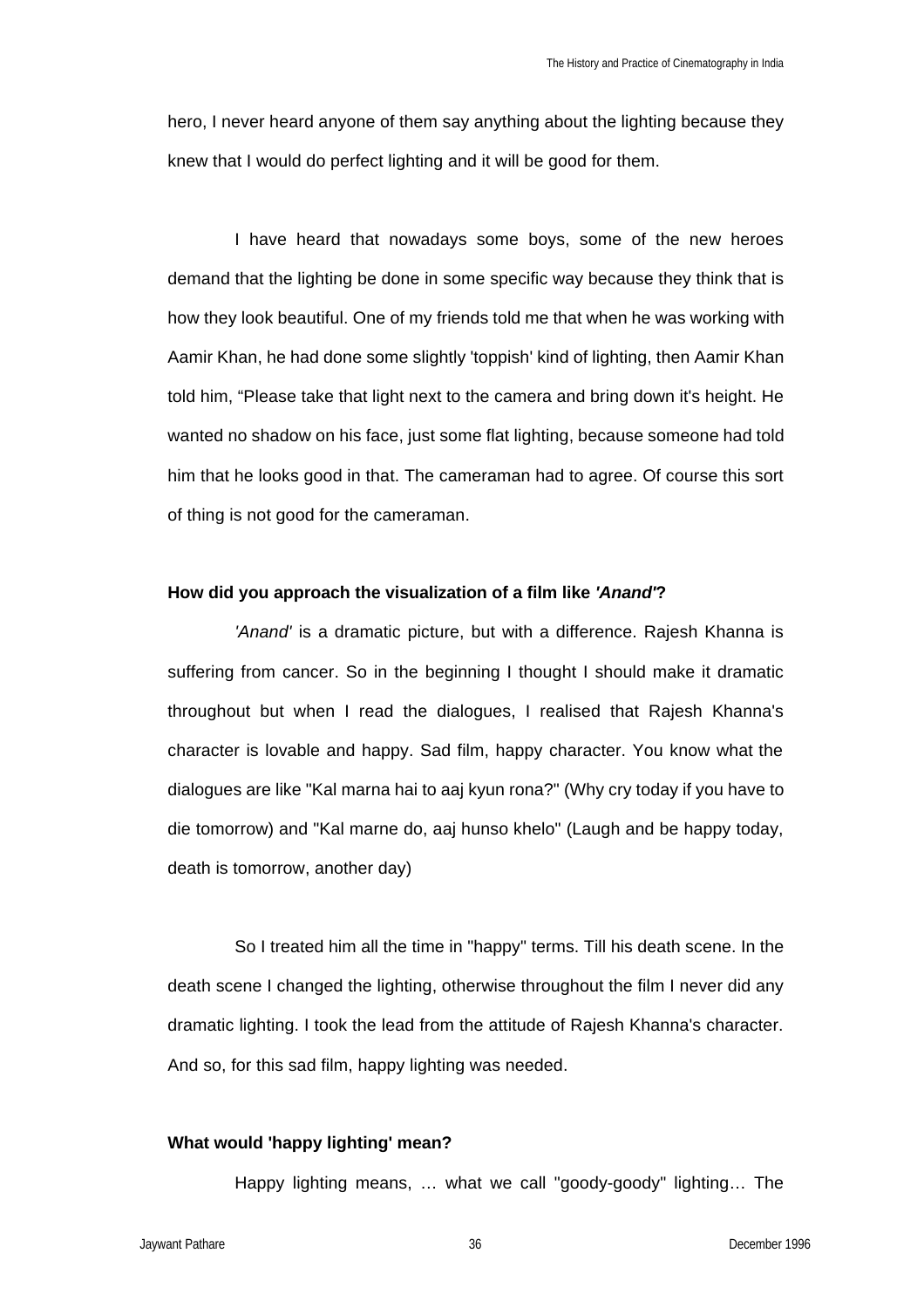hero, I never heard anyone of them say anything about the lighting because they knew that I would do perfect lighting and it will be good for them.

I have heard that nowadays some boys, some of the new heroes demand that the lighting be done in some specific way because they think that is how they look beautiful. One of my friends told me that when he was working with Aamir Khan, he had done some slightly 'toppish' kind of lighting, then Aamir Khan told him, "Please take that light next to the camera and bring down it's height. He wanted no shadow on his face, just some flat lighting, because someone had told him that he looks good in that. The cameraman had to agree. Of course this sort of thing is not good for the cameraman.

#### **How did you approach the visualization of a film like** *'Anand'***?**

*'Anand'* is a dramatic picture, but with a difference. Rajesh Khanna is suffering from cancer. So in the beginning I thought I should make it dramatic throughout but when I read the dialogues, I realised that Rajesh Khanna's character is lovable and happy. Sad film, happy character. You know what the dialogues are like "Kal marna hai to aaj kyun rona?" (Why cry today if you have to die tomorrow) and "Kal marne do, aaj hunso khelo" (Laugh and be happy today, death is tomorrow, another day)

So I treated him all the time in "happy" terms. Till his death scene. In the death scene I changed the lighting, otherwise throughout the film I never did any dramatic lighting. I took the lead from the attitude of Rajesh Khanna's character. And so, for this sad film, happy lighting was needed.

### **What would 'happy lighting' mean?**

Happy lighting means, … what we call "goody-goody" lighting… The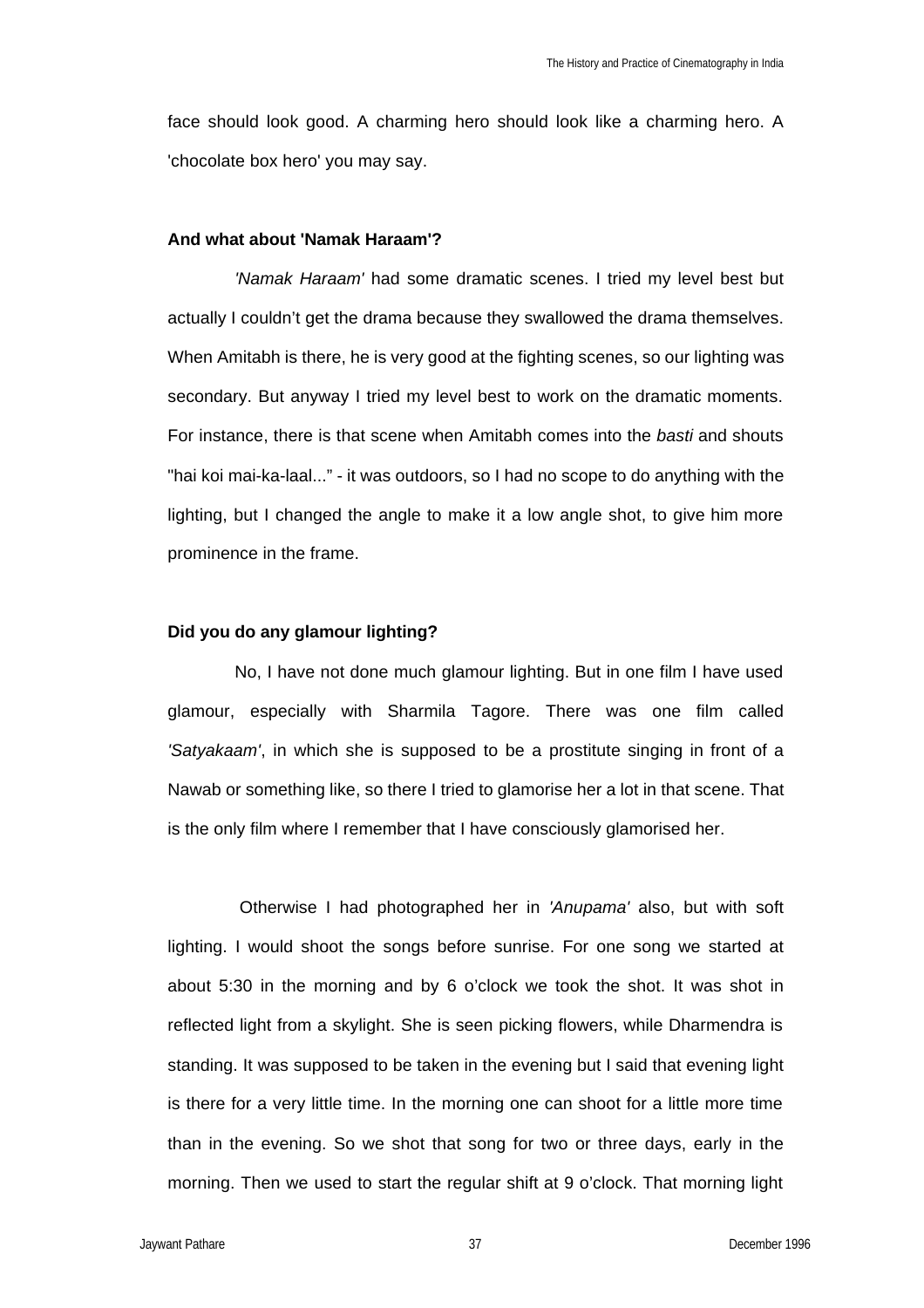face should look good. A charming hero should look like a charming hero. A 'chocolate box hero' you may say.

## **And what about 'Namak Haraam'?**

*'Namak Haraam'* had some dramatic scenes. I tried my level best but actually I couldn't get the drama because they swallowed the drama themselves. When Amitabh is there, he is very good at the fighting scenes, so our lighting was secondary. But anyway I tried my level best to work on the dramatic moments. For instance, there is that scene when Amitabh comes into the *basti* and shouts "hai koi mai-ka-laal..." - it was outdoors, so I had no scope to do anything with the lighting, but I changed the angle to make it a low angle shot, to give him more prominence in the frame.

### **Did you do any glamour lighting?**

No, I have not done much glamour lighting. But in one film I have used glamour, especially with Sharmila Tagore. There was one film called *'Satyakaam'*, in which she is supposed to be a prostitute singing in front of a Nawab or something like, so there I tried to glamorise her a lot in that scene. That is the only film where I remember that I have consciously glamorised her.

 Otherwise I had photographed her in *'Anupama'* also, but with soft lighting. I would shoot the songs before sunrise. For one song we started at about 5:30 in the morning and by 6 o'clock we took the shot. It was shot in reflected light from a skylight. She is seen picking flowers, while Dharmendra is standing. It was supposed to be taken in the evening but I said that evening light is there for a very little time. In the morning one can shoot for a little more time than in the evening. So we shot that song for two or three days, early in the morning. Then we used to start the regular shift at 9 o'clock. That morning light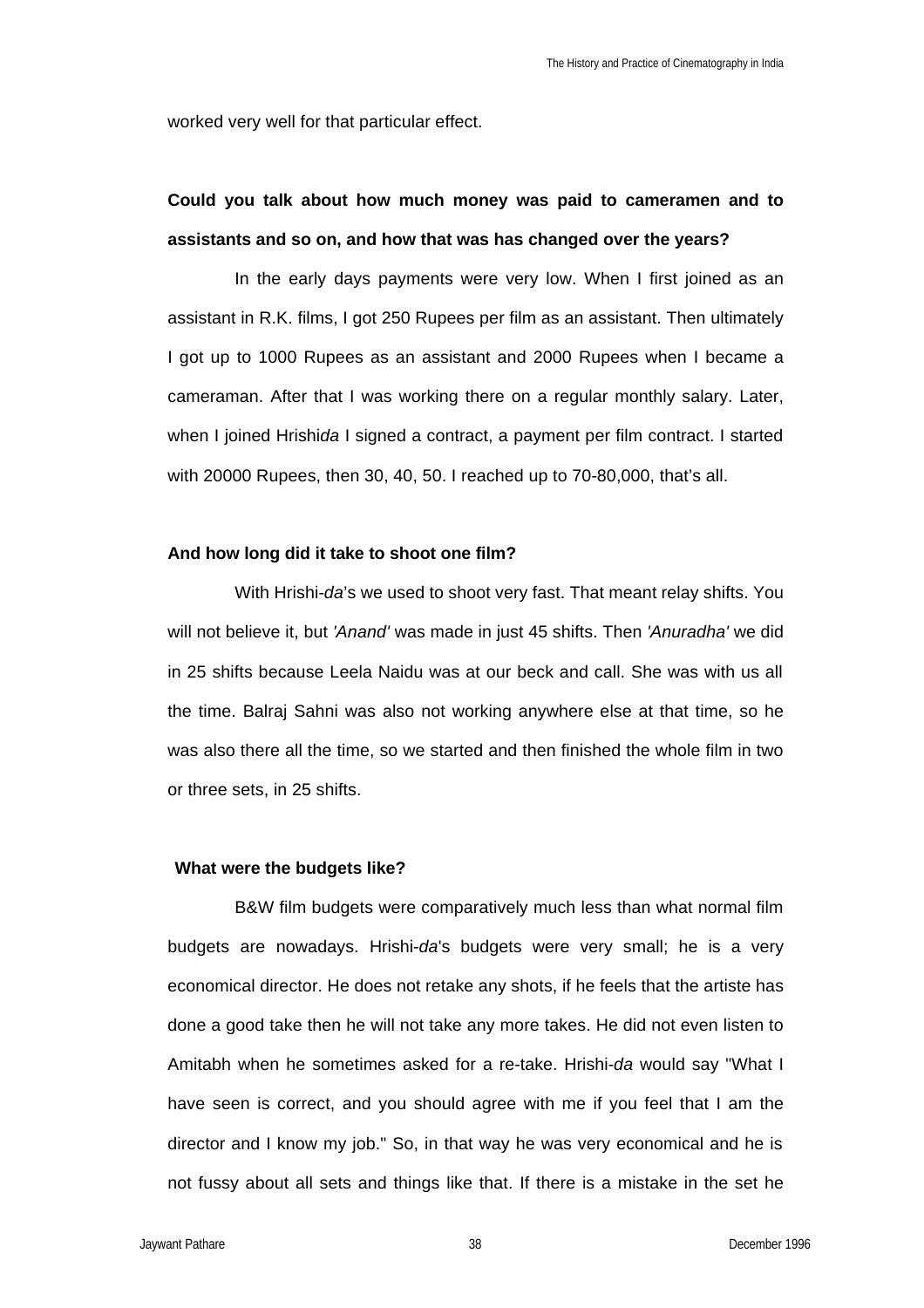worked very well for that particular effect.

# **Could you talk about how much money was paid to cameramen and to assistants and so on, and how that was has changed over the years?**

In the early days payments were very low. When I first joined as an assistant in R.K. films, I got 250 Rupees per film as an assistant. Then ultimately I got up to 1000 Rupees as an assistant and 2000 Rupees when I became a cameraman. After that I was working there on a regular monthly salary. Later, when I joined Hrishi*da* I signed a contract, a payment per film contract. I started with 20000 Rupees, then 30, 40, 50. I reached up to 70-80,000, that's all.

### **And how long did it take to shoot one film?**

With Hrishi-*da*'s we used to shoot very fast. That meant relay shifts. You will not believe it, but *'Anand'* was made in just 45 shifts. Then *'Anuradha'* we did in 25 shifts because Leela Naidu was at our beck and call. She was with us all the time. Balraj Sahni was also not working anywhere else at that time, so he was also there all the time, so we started and then finished the whole film in two or three sets, in 25 shifts.

#### **What were the budgets like?**

B&W film budgets were comparatively much less than what normal film budgets are nowadays. Hrishi-*da*'s budgets were very small; he is a very economical director. He does not retake any shots, if he feels that the artiste has done a good take then he will not take any more takes. He did not even listen to Amitabh when he sometimes asked for a re-take. Hrishi-*da* would say "What I have seen is correct, and you should agree with me if you feel that I am the director and I know my job." So, in that way he was very economical and he is not fussy about all sets and things like that. If there is a mistake in the set he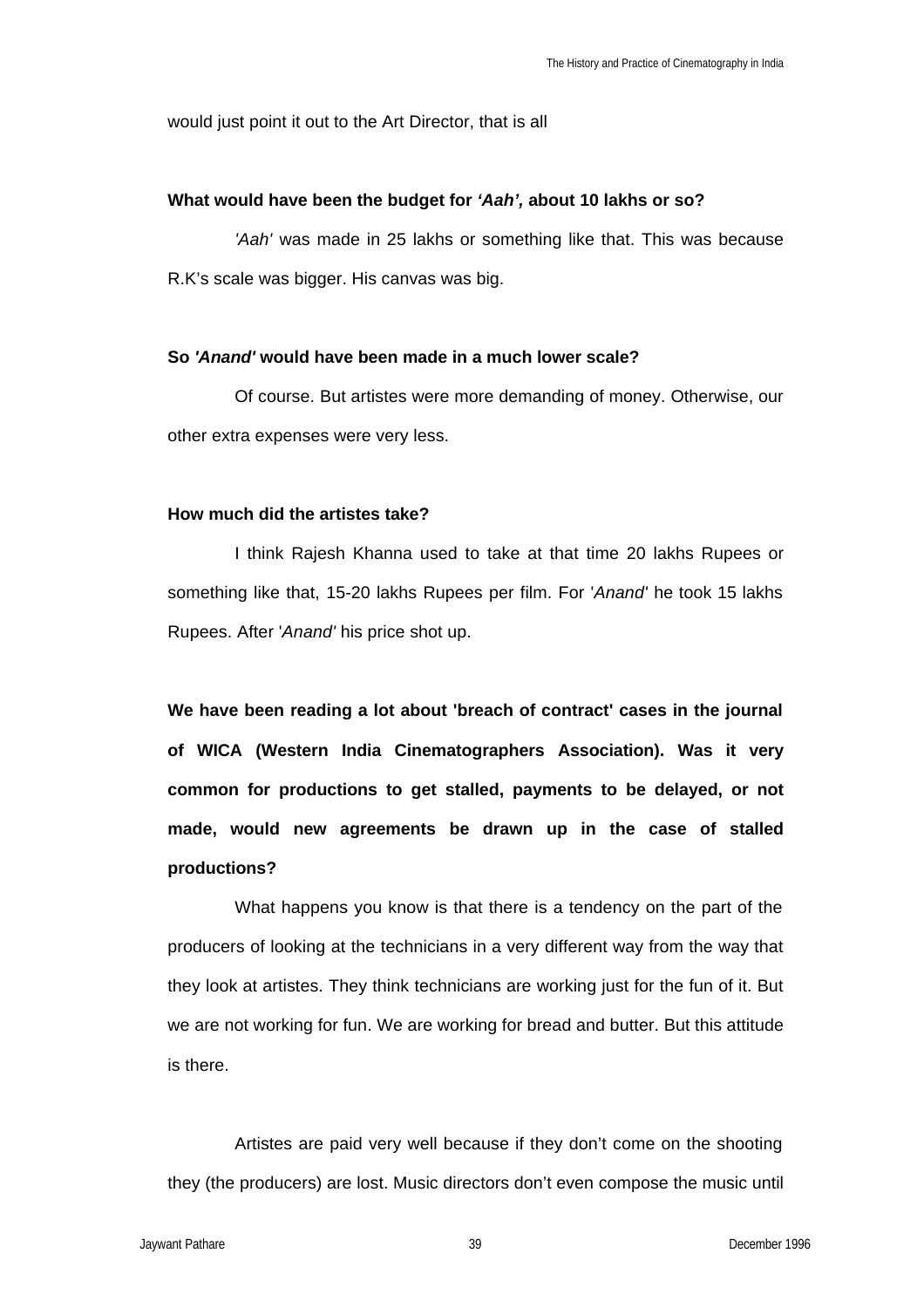would just point it out to the Art Director, that is all

### **What would have been the budget for** *'Aah',* **about 10 lakhs or so?**

*'Aah'* was made in 25 lakhs or something like that. This was because R.K's scale was bigger. His canvas was big.

### **So** *'Anand'* **would have been made in a much lower scale?**

Of course. But artistes were more demanding of money. Otherwise, our other extra expenses were very less.

## **How much did the artistes take?**

I think Rajesh Khanna used to take at that time 20 lakhs Rupees or something like that, 15-20 lakhs Rupees per film. For '*Anand'* he took 15 lakhs Rupees. After '*Anand'* his price shot up.

**We have been reading a lot about 'breach of contract' cases in the journal of WICA (Western India Cinematographers Association). Was it very common for productions to get stalled, payments to be delayed, or not made, would new agreements be drawn up in the case of stalled productions?**

What happens you know is that there is a tendency on the part of the producers of looking at the technicians in a very different way from the way that they look at artistes. They think technicians are working just for the fun of it. But we are not working for fun. We are working for bread and butter. But this attitude is there.

Artistes are paid very well because if they don't come on the shooting they (the producers) are lost. Music directors don't even compose the music until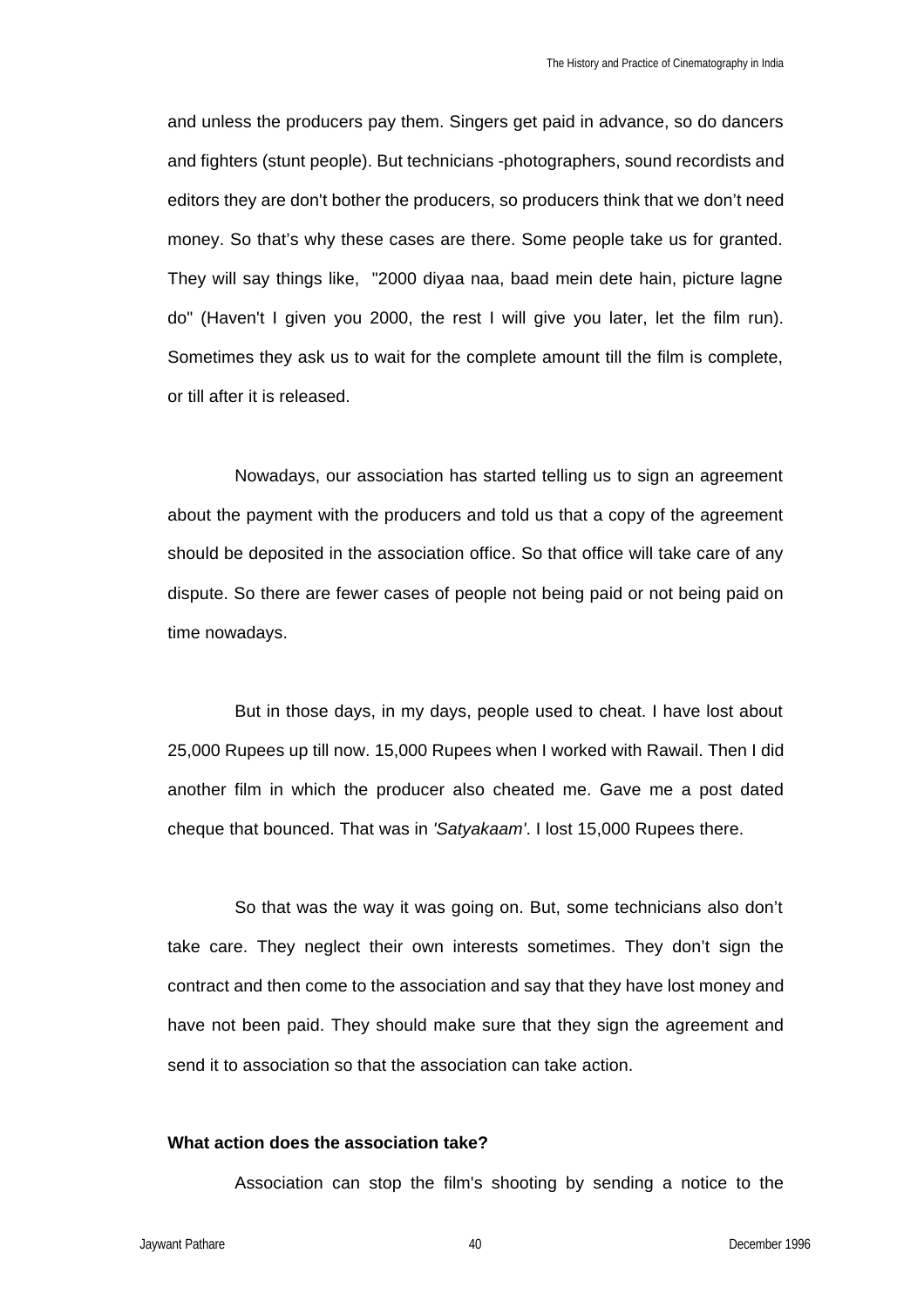and unless the producers pay them. Singers get paid in advance, so do dancers and fighters (stunt people). But technicians -photographers, sound recordists and editors they are don't bother the producers, so producers think that we don't need money. So that's why these cases are there. Some people take us for granted. They will say things like, "2000 diyaa naa, baad mein dete hain, picture lagne do" (Haven't I given you 2000, the rest I will give you later, let the film run). Sometimes they ask us to wait for the complete amount till the film is complete, or till after it is released.

Nowadays, our association has started telling us to sign an agreement about the payment with the producers and told us that a copy of the agreement should be deposited in the association office. So that office will take care of any dispute. So there are fewer cases of people not being paid or not being paid on time nowadays.

But in those days, in my days, people used to cheat. I have lost about 25,000 Rupees up till now. 15,000 Rupees when I worked with Rawail. Then I did another film in which the producer also cheated me. Gave me a post dated cheque that bounced. That was in *'Satyakaam'*. I lost 15,000 Rupees there.

So that was the way it was going on. But, some technicians also don't take care. They neglect their own interests sometimes. They don't sign the contract and then come to the association and say that they have lost money and have not been paid. They should make sure that they sign the agreement and send it to association so that the association can take action.

## **What action does the association take?**

Association can stop the film's shooting by sending a notice to the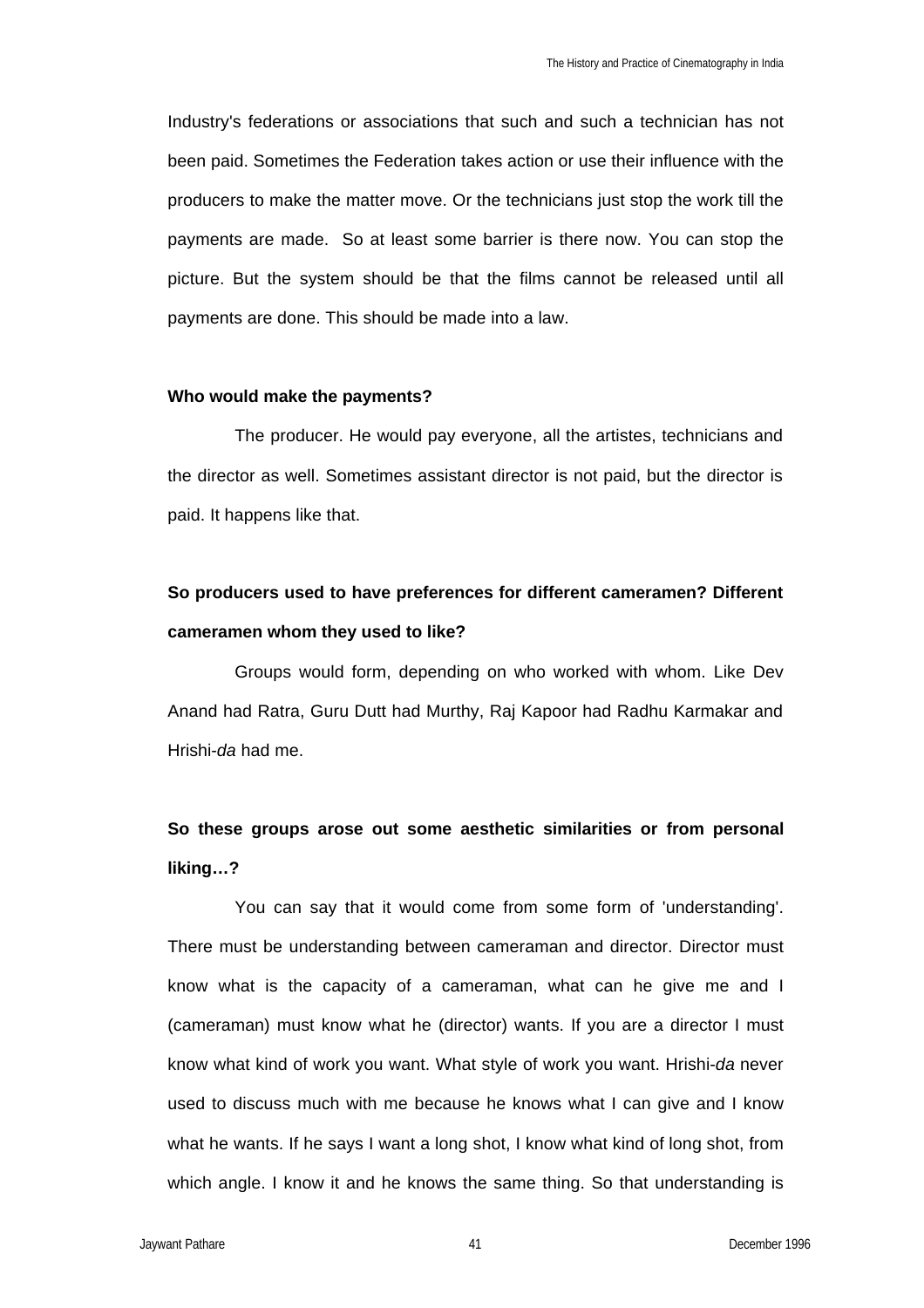Industry's federations or associations that such and such a technician has not been paid. Sometimes the Federation takes action or use their influence with the producers to make the matter move. Or the technicians just stop the work till the payments are made. So at least some barrier is there now. You can stop the picture. But the system should be that the films cannot be released until all payments are done. This should be made into a law.

#### **Who would make the payments?**

The producer. He would pay everyone, all the artistes, technicians and the director as well. Sometimes assistant director is not paid, but the director is paid. It happens like that.

# **So producers used to have preferences for different cameramen? Different cameramen whom they used to like?**

Groups would form, depending on who worked with whom. Like Dev Anand had Ratra, Guru Dutt had Murthy, Raj Kapoor had Radhu Karmakar and Hrishi-*da* had me.

## **So these groups arose out some aesthetic similarities or from personal liking…?**

You can say that it would come from some form of 'understanding'. There must be understanding between cameraman and director. Director must know what is the capacity of a cameraman, what can he give me and I (cameraman) must know what he (director) wants. If you are a director I must know what kind of work you want. What style of work you want. Hrishi-*da* never used to discuss much with me because he knows what I can give and I know what he wants. If he says I want a long shot, I know what kind of long shot, from which angle. I know it and he knows the same thing. So that understanding is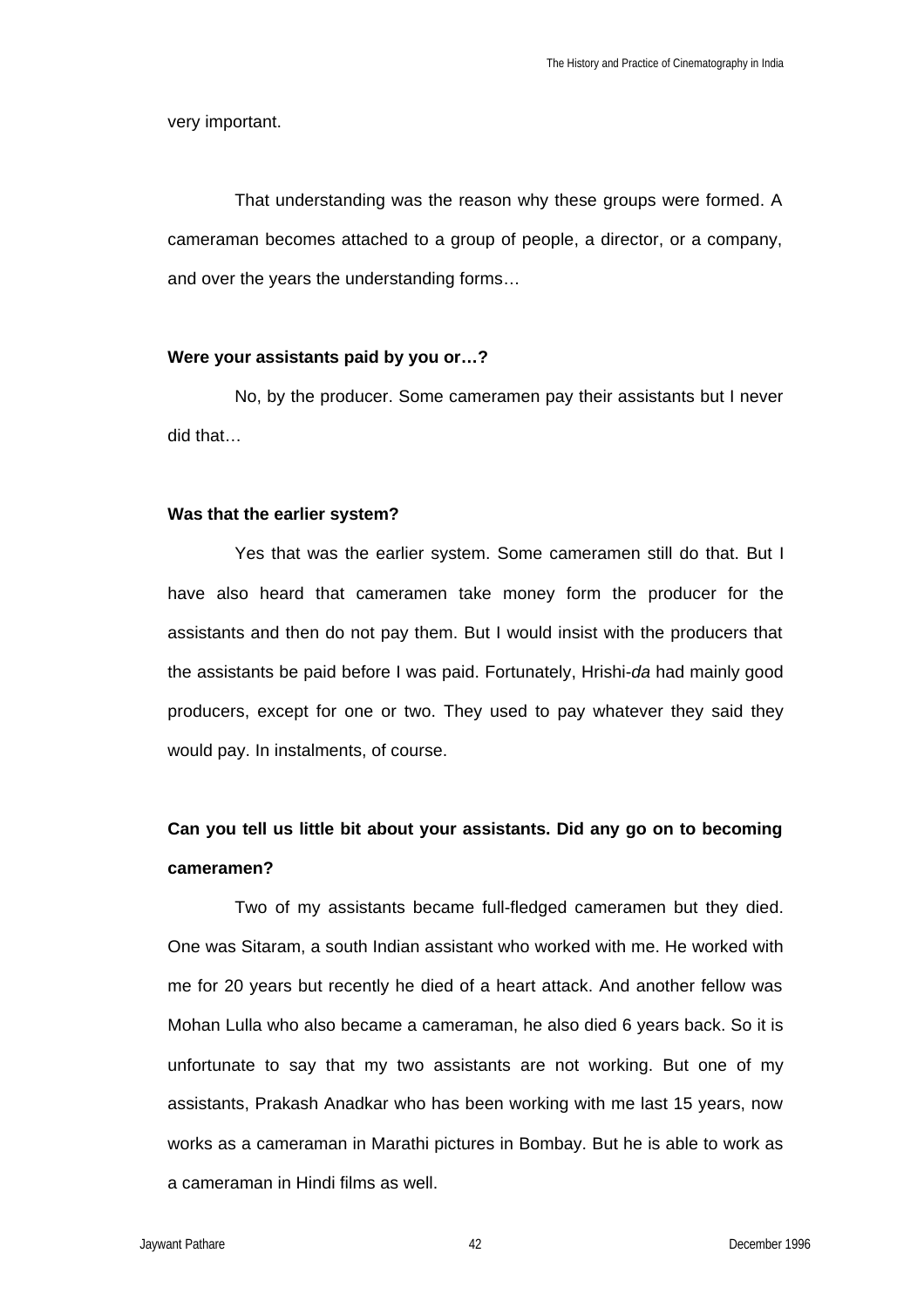very important.

That understanding was the reason why these groups were formed. A cameraman becomes attached to a group of people, a director, or a company, and over the years the understanding forms…

## **Were your assistants paid by you or…?**

No, by the producer. Some cameramen pay their assistants but I never did that…

### **Was that the earlier system?**

Yes that was the earlier system. Some cameramen still do that. But I have also heard that cameramen take money form the producer for the assistants and then do not pay them. But I would insist with the producers that the assistants be paid before I was paid. Fortunately, Hrishi-*da* had mainly good producers, except for one or two. They used to pay whatever they said they would pay. In instalments, of course.

# **Can you tell us little bit about your assistants. Did any go on to becoming cameramen?**

Two of my assistants became full-fledged cameramen but they died. One was Sitaram, a south Indian assistant who worked with me. He worked with me for 20 years but recently he died of a heart attack. And another fellow was Mohan Lulla who also became a cameraman, he also died 6 years back. So it is unfortunate to say that my two assistants are not working. But one of my assistants, Prakash Anadkar who has been working with me last 15 years, now works as a cameraman in Marathi pictures in Bombay. But he is able to work as a cameraman in Hindi films as well.